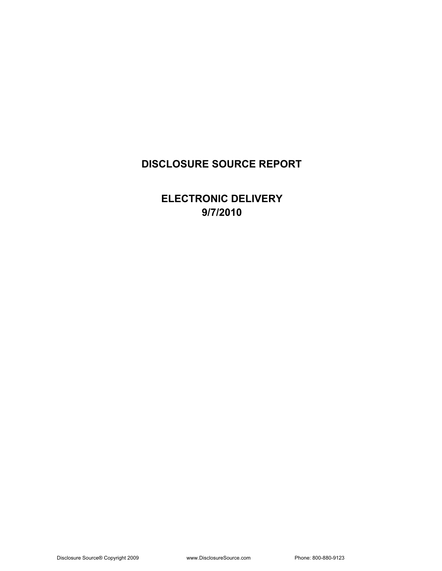### **DISCLOSURE SOURCE REPORT**

**ELECTRONIC DELIVERY 9/7/2010**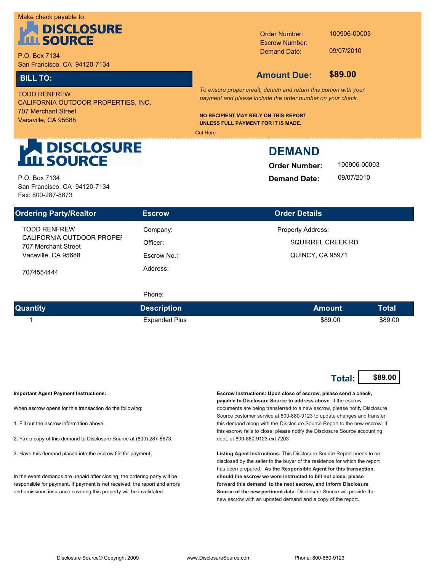#### Make check payable to:



P.O. Box 7134 San Francisco, CA 94120-7134

**UNLESS FULL PAYMENT FOR IT IS MADE.** Vacaville, CA 95688 707 Merchant Street CALIFORNIA OUTDOOR PROPERTIES, INC. TODD RENFREW

Demand Date: Escrow Number: Order Number:

100906-00003

09/07/2010

**\$89.00** 

### **BILL TO: Amount Due:**

*To ensure proper credit, detach and return this portion with your payment and please include the order number on your check.*

**NO RECIPIENT MAY RELY ON THIS REPORT** 

Cut Here

## **N DISCLOSURE<br>L SOURCE**

P.O. Box 7134 San Francisco, CA 94120-7134 Fax: 800-287-8673

### **DEMAND**

**Order Number: Demand Date:**

100906-00003 09/07/2010

| <b>Ordering Party/Realtor</b>                    | <b>Escrow</b> | <b>Order Details</b>     |
|--------------------------------------------------|---------------|--------------------------|
| <b>TODD RENFREW</b>                              | Company:      | <b>Property Address:</b> |
| CALIFORNIA OUTDOOR PROPEI<br>707 Merchant Street | Officer:      | SQUIRREL CREEK RD        |
| Vacaville, CA 95688                              | Escrow No.:   | QUINCY, CA 95971         |
| 7074554444                                       | Address:      |                          |

#### Phone:

| <b>Quantity</b> | <b>Description</b>   | Amount  | Total   |
|-----------------|----------------------|---------|---------|
|                 | <b>Expanded Plus</b> | \$89.00 | \$89.00 |

| Total: I | \$89.00 |
|----------|---------|
|----------|---------|

**Important Agent Payment Instructions:**

When escrow opens for this transaction do the following:

- 1. Fill out the escrow information above.
- 2. Fax a copy of this demand to Disclosure Source at (800) 287-8673.
- 3. Have this demand placed into the escrow file for payment.

In the event demands are unpaid after closing, the ordering party will be responsible for payment. If payment is not received, the report and errors and omissions insurance covering this property will be invalidated.

**Escrow Instructions: Upon close of escrow, please send a check, payable to Disclosure Source to address above.** If the escrow documents are being transferred to a new escrow, please notify Disclosure Source customer service at 800-880-9123 to update changes and transfer this demand along with the Disclosure Source Report to the new escrow. If this escrow fails to close, please notify the Disclosure Source accounting dept. at 800-880-9123 ext 7203

**Listing Agent Instructions:** This Disclosure Source Report needs to be disclosed by the seller to the buyer of the residence for which the report has been prepared. **As the Responsible Agent for this transaction, should the escrow we were instructed to bill not close, please forward this demand to the next escrow, and inform Disclosure Source of the new pertinent data.** Disclosure Source will provide the new escrow with an updated demand and a copy of the report.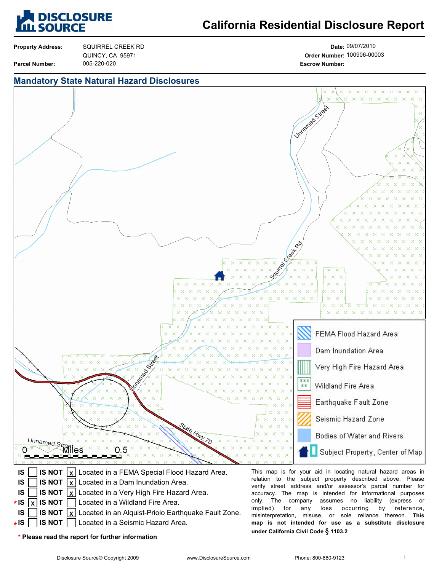

## **California Residential Disclosure Report**

**Property Address:**

**Parcel Number:**

005-220-020 **Escrow Number:** SQUIRREL CREEK RD QUINCY, CA 95971

**Date:** 09/07/2010 **Order Number:** 100906-00003

#### **Mandatory State Natural Hazard Disclosures**



- **IS NOT** Located in a Wildland Fire Area. **X**
- **IS \* IS IS NOT X** Located in an Alquist-Priolo Earthquake Fault Zone.
	- **IS NOT** Located in a Seismic Hazard Area.

only. The company assumes no liability (express or implied) for any loss occurring by reference, misinterpretation, misuse, or sole reliance thereon. **This map is not intended for use as a substitute disclosure under California Civil Code § 1103.2**

**\* Please read the report for further information**

**IS \***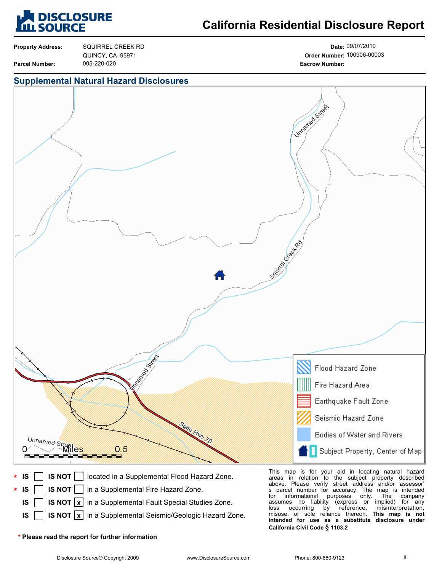

## **California Residential Disclosure Report**

**Property Address:**

**Parcel Number:**

005-220-020 **Escrow Number:** SQUIRREL CREEK RD QUINCY, CA 95971

**Date:** 09/07/2010 **Order Number:** 100906-00003

#### **Supplemental Natural Hazard Disclosures**



- **IS NOT**  $\lfloor x \rfloor$  in a Supplemental Fault Special Studies Zone.
- **IS NOT**  $\lfloor x \rfloor$  in a Supplemental Seismic/Geologic Hazard Zone. **IS**

s parcel number for accuracy. The map is intended for informational purposes only. The company<br>assumes no liability (express or implied) for any assumes no liability (express or<br>loss occurring by reference, misinterpretation,<br>This map is not misuse, or sole reliance thereon. **intended for use as a substitute disclosure under California Civil Code § 1103.2**

**\* Please read the report for further information**

**IS**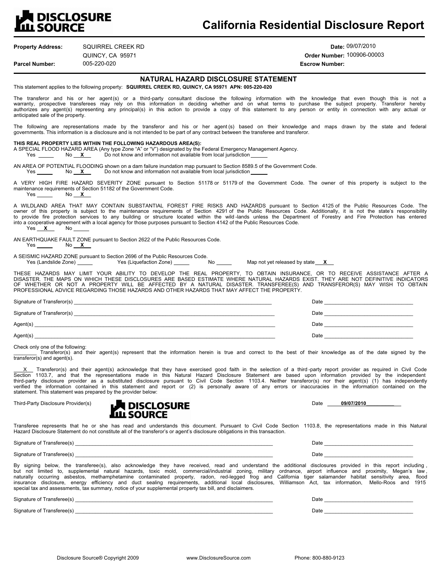## **A DISCLOSURE<br>L SOURCE**

### **California Residential Disclosure Report**

| <b>Property Address:</b>          | SQUIRREL CREEK RD                                                                                                                                                                                                                                              | Date: 09/07/2010                                                                                                                                                                                                                                                                                                                                                                                                                                                                         |
|-----------------------------------|----------------------------------------------------------------------------------------------------------------------------------------------------------------------------------------------------------------------------------------------------------------|------------------------------------------------------------------------------------------------------------------------------------------------------------------------------------------------------------------------------------------------------------------------------------------------------------------------------------------------------------------------------------------------------------------------------------------------------------------------------------------|
|                                   | QUINCY, CA 95971                                                                                                                                                                                                                                               | Order Number: 100906-00003                                                                                                                                                                                                                                                                                                                                                                                                                                                               |
| <b>Parcel Number:</b>             | 005-220-020                                                                                                                                                                                                                                                    | <b>Escrow Number:</b>                                                                                                                                                                                                                                                                                                                                                                                                                                                                    |
|                                   | NATURAL HAZARD DISCLOSURE STATEMENT<br>This statement applies to the following property: SQUIRREL CREEK RD, QUINCY, CA 95971 APN: 005-220-020                                                                                                                  |                                                                                                                                                                                                                                                                                                                                                                                                                                                                                          |
| anticipated sale of the property. |                                                                                                                                                                                                                                                                | The transferor and his or her agent(s) or a third-party consultant disclose the following information with the knowledge that even though this is not a<br>warranty, prospective transferees may rely on this information in deciding whether and on what terms to purchase the subject property. Transferor hereby<br>authorizes any agent(s) representing any principal(s) in this action to provide a copy of this statement to any person or entity in connection with any actual or |
|                                   | governments. This information is a disclosure and is not intended to be part of any contract between the transferee and transferor.                                                                                                                            | The following are representations made by the transferor and his or her agent(s) based on their knowledge and maps drawn by the state and federal                                                                                                                                                                                                                                                                                                                                        |
|                                   | THIS REAL PROPERTY LIES WITHIN THE FOLLOWING HAZARDOUS AREA(S):<br>A SPECIAL FLOOD HAZARD AREA (Any type Zone "A" or "V") designated by the Federal Emergency Management Agency.<br>Yes No X Do not know and information not available from local jurisdiction |                                                                                                                                                                                                                                                                                                                                                                                                                                                                                          |
| <b>Yes</b>                        | AN AREA OF POTENTIAL FLOODING shown on a dam failure inundation map pursuant to Section 8589.5 of the Government Code.<br>Do not know and information not available from local jurisdiction<br>No <b>X</b> __                                                  |                                                                                                                                                                                                                                                                                                                                                                                                                                                                                          |
| <b>Yes</b>                        | maintenance requirements of Section 51182 of the Government Code.<br>$No$ $X$                                                                                                                                                                                  | A VERY HIGH FIRE HAZARD SEVERITY ZONE pursuant to Section 51178 or 51179 of the Government Code. The owner of this property is subject to the                                                                                                                                                                                                                                                                                                                                            |
| Yes <b>X</b> No                   | into a cooperative agreement with a local agency for those purposes pursuant to Section 4142 of the Public Resources Code.                                                                                                                                     | A WILDLAND AREA THAT MAY CONTAIN SUBSTANTIAL FOREST FIRE RISKS AND HAZARDS pursuant to Section 4125 of the Public Resources Code. The<br>owner of this property is subject to the maintenance requirements of Section 4291 of the Public Resources Code. Additionally, it is not the state's responsibility<br>to provide fire protection services to any building or structure located within the wild-lands unless the Department of Forestry and Fire Protection has entered          |
| Yes No X                          | AN EARTHQUAKE FAULT ZONE pursuant to Section 2622 of the Public Resources Code.                                                                                                                                                                                |                                                                                                                                                                                                                                                                                                                                                                                                                                                                                          |
|                                   | A SEISMIC HAZARD ZONE pursuant to Section 2696 of the Public Resources Code.<br>Yes (Landslide Zone) Yes (Liquefaction Zone)                                                                                                                                   | No Map not yet released by state X                                                                                                                                                                                                                                                                                                                                                                                                                                                       |
|                                   | PROFESSIONAL ADVICE REGARDING THOSE HAZARDS AND OTHER HAZARDS THAT MAY AFFECT THE PROPERTY.                                                                                                                                                                    | THESE HAZARDS MAY LIMIT YOUR ABILITY TO DEVELOP THE REAL PROPERTY, TO OBTAIN INSURANCE, OR TO RECEIVE ASSISTANCE AFTER A<br>DISASTER. THE MAPS ON WHICH THESE DISCLOSURES ARE BASED ESTIMATE WHERE NATURAL HAZARDS EXIST. THEY ARE NOT DEFINITIVE INDICATORS<br>OF WHETHER OR NOT A PROPERTY WILL BE AFFECTED BY A NATURAL DISASTER. TRANSFEREE(S) AND TRANSFEROR(S) MAY WISH TO OBTAIN                                                                                                  |

| Signature of Transferor(s) | Date |
|----------------------------|------|
| Signature of Transferor(s) | Date |
| Agent(s)                   | Date |
| Agent(s)                   | Date |

Check only one of the following:<br>\_\_\_\_\_\_\_\_\_ Transferor(s) and their agent(s) represent that the information herein is true and correct to the best of their knowledge as of the date signed by the transferor(s) and agent(s).

X Transferor(s) and their agent(s) acknowledge that they have exercised good faith in the selection of a third-party report provider as required in Civil Code<br>Section 1103.7, and that the representations made in this Natur third-party disclosure provider as a substituted disclosure pursuant to Civil Code Section 1103.4. Neither transferor(s) nor their agent(s) (1) has independently verified the information contained in this statement and report or (2) is personally aware of any errors or inaccuracies in the information contained on the statement. This statement was prepared by the provider below:



Transferee represents that he or she has read and understands this document. Pursuant to Civil Code Section 1103.8, the representations made in this Natural Hazard Disclosure Statement do not constitute all of the transferor's or agent's disclosure obligations in this transaction.

Signature of Transferee(s) \_\_\_\_\_\_\_\_\_\_\_\_\_\_\_\_\_\_\_\_\_\_\_\_\_\_\_\_\_\_\_\_\_\_\_\_\_\_\_\_\_\_\_\_\_\_\_\_\_\_\_\_\_\_\_\_\_\_\_\_\_\_\_\_\_\_\_\_\_ Date \_\_\_\_\_\_\_\_\_\_\_\_\_\_\_\_\_\_\_\_\_\_\_\_\_\_\_\_\_\_\_

Signature of Transferee(s) \_\_\_\_\_\_\_\_\_\_\_\_\_\_\_\_\_\_\_\_\_\_\_\_\_\_\_\_\_\_\_\_\_\_\_\_\_\_\_\_\_\_\_\_\_\_\_\_\_\_\_\_\_\_\_\_\_\_\_\_\_\_\_\_\_\_\_\_\_ Date \_\_\_\_\_\_\_\_\_\_\_\_\_\_\_\_\_\_\_\_\_\_\_\_\_\_\_\_\_\_\_

By signing below, the transferee(s), also acknowledge they have received, read and understand the additional disclosures provided in this report including, but not limited to, supplemental natural hazards, toxic mold, commercial/industrial zoning, military ordnance, airport influence and proximity, Megan's law,<br>naturally occurring asbestos, methamphetamine contaminated proper insurance disclosure, energy efficiency and duct sealing requirements, additional local disclosures, Williamson Act, tax information, Mello-Roos and 1915<br>special tax and assessments, tax summary, notice of your supplementa

Signature of Transferee(s) \_\_\_\_\_\_\_\_\_\_\_\_\_\_\_\_\_\_\_\_\_\_\_\_\_\_\_\_\_\_\_\_\_\_\_\_\_\_\_\_\_\_\_\_\_\_\_\_\_\_\_\_\_\_\_\_\_\_\_\_\_\_\_\_\_\_\_\_\_ Date \_\_\_\_\_\_\_\_\_\_\_\_\_\_\_\_\_\_\_\_\_\_\_\_\_\_\_\_\_\_\_

Signature of Transferee(s) \_\_\_\_\_\_\_\_\_\_\_\_\_\_\_\_\_\_\_\_\_\_\_\_\_\_\_\_\_\_\_\_\_\_\_\_\_\_\_\_\_\_\_\_\_\_\_\_\_\_\_\_\_\_\_\_\_\_\_\_\_\_\_\_\_\_\_\_\_ Date \_\_\_\_\_\_\_\_\_\_\_\_\_\_\_\_\_\_\_\_\_\_\_\_\_\_\_\_\_\_\_

Disclosure Source® Copyright 2009 www.DisclosureSource.com Phone: 800-880-9123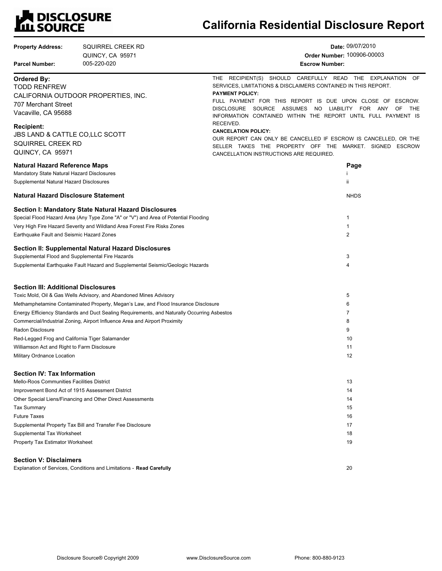## **LA DISCLOSURE<br>LILI SOURCE**

## **California Residential Disclosure Report**

| <b>Property Address:</b><br><b>Parcel Number:</b>                                     | SQUIRREL CREEK RD<br>QUINCY, CA 95971<br>005-220-020                                                                                         | Date: 09/07/2010<br>Order Number: 100906-00003<br><b>Escrow Number:</b>                                                                                               |           |
|---------------------------------------------------------------------------------------|----------------------------------------------------------------------------------------------------------------------------------------------|-----------------------------------------------------------------------------------------------------------------------------------------------------------------------|-----------|
| <b>Ordered By:</b><br><b>TODD RENFREW</b>                                             |                                                                                                                                              | THE RECIPIENT(S) SHOULD CAREFULLY READ THE EXPLANATION OF<br>SERVICES, LIMITATIONS & DISCLAIMERS CONTAINED IN THIS REPORT.                                            |           |
| 707 Merchant Street                                                                   | CALIFORNIA OUTDOOR PROPERTIES, INC.                                                                                                          | <b>PAYMENT POLICY:</b><br>FULL PAYMENT FOR THIS REPORT IS DUE UPON CLOSE OF ESCROW.                                                                                   |           |
| Vacaville, CA 95688                                                                   |                                                                                                                                              | <b>DISCLOSURE</b><br>SOURCE ASSUMES<br>LIABILITY FOR ANY<br>NO.<br>INFORMATION CONTAINED WITHIN THE REPORT UNTIL FULL PAYMENT IS<br>RECEIVED.                         | OF<br>THE |
| <b>Recipient:</b><br>JBS LAND & CATTLE CO,LLC SCOTT                                   |                                                                                                                                              | <b>CANCELATION POLICY:</b>                                                                                                                                            |           |
| SQUIRREL CREEK RD<br>QUINCY, CA 95971                                                 |                                                                                                                                              | OUR REPORT CAN ONLY BE CANCELLED IF ESCROW IS CANCELLED, OR THE<br>SELLER TAKES THE PROPERTY OFF THE MARKET. SIGNED ESCROW<br>CANCELLATION INSTRUCTIONS ARE REQUIRED. |           |
| <b>Natural Hazard Reference Maps</b>                                                  |                                                                                                                                              | Page                                                                                                                                                                  |           |
| Mandatory State Natural Hazard Disclosures<br>Supplemental Natural Hazard Disclosures |                                                                                                                                              | ii                                                                                                                                                                    |           |
| <b>Natural Hazard Disclosure Statement</b>                                            |                                                                                                                                              | <b>NHDS</b>                                                                                                                                                           |           |
|                                                                                       | Section I: Mandatory State Natural Hazard Disclosures<br>Special Flood Hazard Area (Any Type Zone "A" or "V") and Area of Potential Flooding | 1                                                                                                                                                                     |           |
| Earthquake Fault and Seismic Hazard Zones                                             | Very High Fire Hazard Severity and Wildland Area Forest Fire Risks Zones                                                                     | 1<br>$\overline{2}$                                                                                                                                                   |           |
|                                                                                       | Section II: Supplemental Natural Hazard Disclosures                                                                                          |                                                                                                                                                                       |           |
| Supplemental Flood and Supplemental Fire Hazards                                      | Supplemental Earthquake Fault Hazard and Supplemental Seismic/Geologic Hazards                                                               | 3<br>4                                                                                                                                                                |           |
| Section III: Additional Disclosures                                                   |                                                                                                                                              |                                                                                                                                                                       |           |
|                                                                                       | Toxic Mold, Oil & Gas Wells Advisory, and Abandoned Mines Advisory                                                                           | 5                                                                                                                                                                     |           |
|                                                                                       | Methamphetamine Contaminated Property, Megan's Law, and Flood Insurance Disclosure                                                           | 6                                                                                                                                                                     |           |
|                                                                                       | Energy Efficiency Standards and Duct Sealing Requirements, and Naturally Occurring Asbestos                                                  | 7                                                                                                                                                                     |           |
|                                                                                       | Commercial/Industrial Zoning, Airport Influence Area and Airport Proximity                                                                   | 8                                                                                                                                                                     |           |
| Radon Disclosure                                                                      |                                                                                                                                              | 9<br>10                                                                                                                                                               |           |
| Red-Legged Frog and California Tiger Salamander                                       |                                                                                                                                              | 11                                                                                                                                                                    |           |
| Williamson Act and Right to Farm Disclosure<br>Military Ordnance Location             |                                                                                                                                              | 12                                                                                                                                                                    |           |
| <b>Section IV: Tax Information</b>                                                    |                                                                                                                                              |                                                                                                                                                                       |           |
| Mello-Roos Communities Facilities District                                            |                                                                                                                                              | 13                                                                                                                                                                    |           |
| Improvement Bond Act of 1915 Assessment District                                      |                                                                                                                                              | 14                                                                                                                                                                    |           |
|                                                                                       | Other Special Liens/Financing and Other Direct Assessments                                                                                   | 14                                                                                                                                                                    |           |
| <b>Tax Summary</b>                                                                    |                                                                                                                                              | 15                                                                                                                                                                    |           |
| <b>Future Taxes</b>                                                                   |                                                                                                                                              | 16                                                                                                                                                                    |           |
|                                                                                       | Supplemental Property Tax Bill and Transfer Fee Disclosure                                                                                   | 17                                                                                                                                                                    |           |
| Supplemental Tax Worksheet                                                            |                                                                                                                                              | 18                                                                                                                                                                    |           |
| Property Tax Estimator Worksheet                                                      |                                                                                                                                              | 19                                                                                                                                                                    |           |
| <b>Section V: Disclaimers</b>                                                         |                                                                                                                                              |                                                                                                                                                                       |           |

Explanation of Services, Conditions and Limitations - **Read Carefully**

20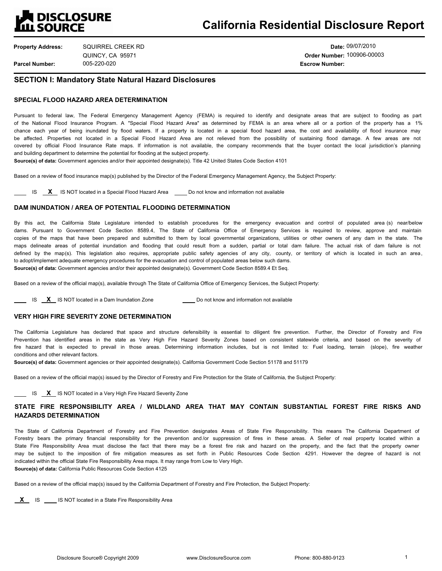

| <b>Property Address:</b> | SQUIRREL CREEK RD |
|--------------------------|-------------------|
|                          | QUINCY, CA 95971  |
| <b>Parcel Number:</b>    | 005-220-020       |

**Date:** 09/07/2010 **Order Number:** 100906-00003 005-220-020 **Escrow Number:**

#### **SECTION I: Mandatory State Natural Hazard Disclosures**

#### **SPECIAL FLOOD HAZARD AREA DETERMINATION**

Pursuant to federal law, The Federal Emergency Management Agency (FEMA) is required to identify and designate areas that are subject to flooding as part of the National Flood Insurance Program. A "Special Flood Hazard Area" as determined by FEMA is an area where all or a portion of the property has a 1% chance each year of being inundated by flood waters. If a property is located in a special flood hazard area, the cost and availability of flood insurance may be affected. Properties not located in a Special Flood Hazard Area are not relieved from the possibility of sustaining flood damage. A few areas are not covered by official Flood Insurance Rate maps. If information is not available, the company recommends that the buyer contact the local jurisdiction's planning and building department to determine the potential for flooding at the subject property.

**Source(s) of data:** Government agencies and/or their appointed designate(s). Title 42 United States Code Section 4101

Based on a review of flood insurance map(s) published by the Director of the Federal Emergency Management Agency, the Subject Property:

IS **X** IS NOT located in a Special Flood Hazard Area **Do not know and information not available** 

#### **DAM INUNDATION / AREA OF POTENTIAL FLOODING DETERMINATION**

By this act, the California State Legislature intended to establish procedures for the emergency evacuation and control of populated area (s) near/below dams. Pursuant to Government Code Section 8589.4, The State of California Office of Emergency Services is required to review, approve and maintain copies of the maps that have been prepared and submitted to them by local governmental organizations, utilities or other owners of any dam in the state. The maps delineate areas of potential inundation and flooding that could result from a sudden, partial or total dam failure. The actual risk of dam failure is not defined by the map(s). This legislation also requires, appropriate public safety agencies of any city, county, or territory of which is located in such an area, to adopt/implement adequate emergency procedures for the evacuation and control of populated areas below such dams. **Source(s) of data:** Government agencies and/or their appointed designate(s). Government Code Section 8589.4 Et Seq.

Based on a review of the official map(s), available through The State of California Office of Emergency Services, the Subject Property:

**IS X IS NOT located in a Dam Inundation Zone Do not know and information not available** 

#### **VERY HIGH FIRE SEVERITY ZONE DETERMINATION**

The California Legislature has declared that space and structure defensibility is essential to diligent fire prevention. Further, the Director of Forestry and Fire Prevention has identified areas in the state as Very High Fire Hazard Severity Zones based on consistent statewide criteria, and based on the severity of fire hazard that is expected to prevail in those areas. Determining information includes, but is not limited to: Fuel loading, terrain (slope), fire weather conditions and other relevant factors.

**Source(s) of data:** Government agencies or their appointed designate(s). California Government Code Section 51178 and 51179

Based on a review of the official map(s) issued by the Director of Forestry and Fire Protection for the State of California, the Subject Property:

**IS X IS NOT located in a Very High Fire Hazard Severity Zone** 

#### **STATE FIRE RESPONSIBILITY AREA / WILDLAND AREA THAT MAY CONTAIN SUBSTANTIAL FOREST FIRE RISKS AND HAZARDS DETERMINATION**

The State of California Department of Forestry and Fire Prevention designates Areas of State Fire Responsibility. This means The California Department of Forestry bears the primary financial responsibility for the prevention and/or suppression of fires in these areas. A Seller of real property located within a State Fire Responsibility Area must disclose the fact that there may be a forest fire risk and hazard on the property, and the fact that the property owner may be subject to the imposition of fire mitigation measures as set forth in Public Resources Code Section 4291. However the degree of hazard is not indicated within the official State Fire Responsibility Area maps. It may range from Low to Very High. **Source(s) of data:** California Public Resources Code Section 4125

Based on a review of the official map(s) issued by the California Department of Forestry and Fire Protection, the Subject Property:

**X** IS **IS IS NOT located in a State Fire Responsibility Area**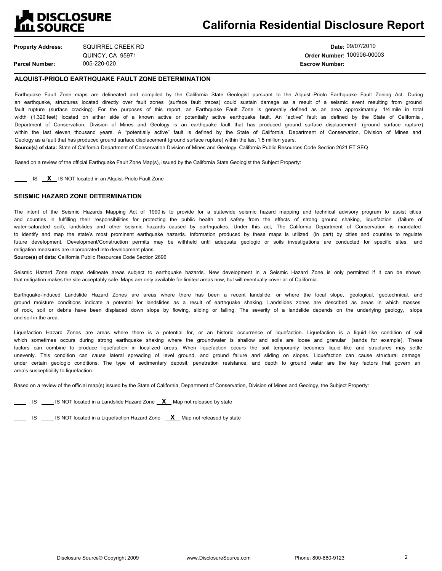## **N** DISCLOSURE **ILL SOURCE**

**Property Address: Parcel Number:** SQUIRREL CREEK RD QUINCY, CA 95971

**Date:** 09/07/2010 **Order Number:** 100906-00003 005-220-020 **Escrow Number:**

#### **ALQUIST-PRIOLO EARTHQUAKE FAULT ZONE DETERMINATION**

Earthquake Fault Zone maps are delineated and compiled by the California State Geologist pursuant to the Alquist -Priolo Earthquake Fault Zoning Act. During an earthquake, structures located directly over fault zones (surface fault traces) could sustain damage as a result of a seismic event resulting from ground fault rupture (surface cracking). For the purposes of this report, an Earthquake Fault Zone is generally defined as an area approximately 1/4 mile in total width (1,320 feet) located on either side of a known active or potentially active earthquake fault. An "active" fault as defined by the State of California, Department of Conservation, Division of Mines and Geology is an earthquake fault that has produced ground surface displacement (ground surface rupture) within the last eleven thousand years. A "potentially active" fault is defined by the State of California, Department of Conservation, Division of Mines and Geology as a fault that has produced ground surface displacement (ground surface rupture) within the last 1.5 million years.

**Source(s) of data:** State of California Department of Conservation Division of Mines and Geology. California Public Resources Code Section 2621 ET SEQ

Based on a review of the official Earthquake Fault Zone Map(s), issued by the California State Geologist the Subject Property:

**IS X** IS NOT located in an Alquist-Priolo Fault Zone

#### **SEISMIC HAZARD ZONE DETERMINATION**

The intent of the Seismic Hazards Mapping Act of 1990 is to provide for a statewide seismic hazard mapping and technical advisory program to assist cities and counties in fulfilling their responsibilities for protecting the public health and safety from the effects of strong ground shaking, liquefaction (failure of water-saturated soil), landslides and other seismic hazards caused by earthquakes. Under this act, The California Department of Conservation is mandated to identify and map the state's most prominent earthquake hazards. Information produced by these maps is utilized (in part) by cities and counties to regulate future development. Development/Construction permits may be withheld until adequate geologic or soils investigations are conducted for specific sites, and mitigation measures are incorporated into development plans.

**Source(s) of data:** California Public Resources Code Section 2696

Seismic Hazard Zone maps delineate areas subject to earthquake hazards. New development in a Seismic Hazard Zone is only permitted if it can be shown that mitigation makes the site acceptably safe. Maps are only available for limited areas now, but will eventually cover all of California.

Earthquake-Induced Landslide Hazard Zones are areas where there has been a recent landslide, or where the local slope, geological, geotechnical, and ground moisture conditions indicate a potential for landslides as a result of earthquake shaking. Landslides zones are described as areas in which masses of rock, soil or debris have been displaced down slope by flowing, sliding or falling. The severity of a landslide depends on the underlying geology, slope and soil in the area.

Liquefaction Hazard Zones are areas where there is a potential for, or an historic occurrence of liquefaction. Liquefaction is a liquid -like condition of soil which sometimes occurs during strong earthquake shaking where the groundwater is shallow and soils are loose and granular (sands for example). These factors can combine to produce liquefaction in localized areas. When liquefaction occurs the soil temporarily becomes liquid -like and structures may settle unevenly. This condition can cause lateral spreading of level ground, and ground failure and sliding on slopes. Liquefaction can cause structural damage under certain geologic conditions. The type of sedimentary deposit, penetration resistance, and depth to ground water are the key factors that govern an area's susceptibility to liquefaction.

Based on a review of the official map(s) issued by the State of California, Department of Conservation, Division of Mines and Geology, the Subject Property:

**IS IS IS NOT** located in a Landslide Hazard Zone **X** Map not released by state

**IS** IS **IS NOT** located in a Liquefaction Hazard Zone **X** Map not released by state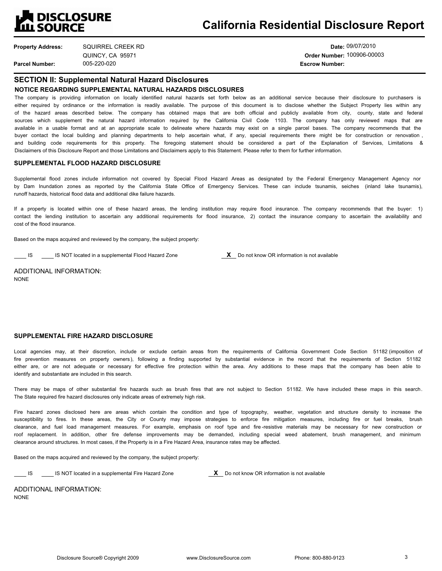

| <b>Property Address:</b> | SQUIRREL CREEK RD |
|--------------------------|-------------------|
|                          | QUINCY, CA 95971  |
| <b>Parcel Number:</b>    | 005-220-020       |

**Date:** 09/07/2010 **Order Number:** 100906-00003 **Escrow Number:** 

## **SECTION II: Supplemental Natural Hazard Disclosures**

**NOTICE REGARDING SUPPLEMENTAL NATURAL HAZARDS DISCLOSURES**

The company is providing information on locally identified natural hazards set forth below as an additional service because their disclosure to purchasers is either required by ordinance or the information is readily available. The purpose of this document is to disclose whether the Subject Property lies within any of the hazard areas described below. The company has obtained maps that are both official and publicly available from city, county, state and federal sources which supplement the natural hazard information required by the California Civil Code 1103. The company has only reviewed maps that are available in a usable format and at an appropriate scale to delineate where hazards may exist on a single parcel bases. The company recommends that the buyer contact the local building and planning departments to help ascertain what, if any, special requirements there might be for construction or renovation, and building code requirements for this property. The foregoing statement should be considered a part of the Explanation of Services, Limitations & Disclaimers of this Disclosure Report and those Limitations and Disclaimers apply to this Statement. Please refer to them for further information.

#### **SUPPLEMENTAL FLOOD HAZARD DISCLOSURE**

Supplemental flood zones include information not covered by Special Flood Hazard Areas as designated by the Federal Emergency Management Agency nor by Dam Inundation zones as reported by the California State Office of Emergency Services. These can include tsunamis, seiches (inland lake tsunamis), runoff hazards, historical flood data and additional dike failure hazards.

If a property is located within one of these hazard areas, the lending institution may require flood insurance. The company recommends that the buyer: 1) contact the lending institution to ascertain any additional requirements for flood insurance, 2) contact the insurance company to ascertain the availability and cost of the flood insurance.

Based on the maps acquired and reviewed by the company, the subject property:

IS IS NOT located in a supplemental Flood Hazard Zone **X** Do not know OR information is not available

ADDITIONAL INFORMATION: NONE

#### **SUPPLEMENTAL FIRE HAZARD DISCLOSURE**

Local agencies may, at their discretion, include or exclude certain areas from the requirements of California Government Code Section 51182 (imposition of fire prevention measures on property owners), following a finding supported by substantial evidence in the record that the requirements of Section 51182 either are, or are not adequate or necessary for effective fire protection within the area. Any additions to these maps that the company has been able to identify and substantiate are included in this search.

There may be maps of other substantial fire hazards such as brush fires that are not subject to Section 51182. We have included these maps in this search. The State required fire hazard disclosures only indicate areas of extremely high risk.

Fire hazard zones disclosed here are areas which contain the condition and type of topography, weather, vegetation and structure density to increase the susceptibility to fires. In these areas, the City or County may impose strategies to enforce fire mitigation measures, including fire or fuel breaks, brush clearance, and fuel load management measures. For example, emphasis on roof type and fire -resistive materials may be necessary for new construction or roof replacement. In addition, other fire defense improvements may be demanded, including special weed abatement, brush management, and minimum clearance around structures. In most cases, if the Property is in a Fire Hazard Area, insurance rates may be affected.

Based on the maps acquired and reviewed by the company, the subject property:

IS IS NOT located in a supplemental Fire Hazard Zone **X** Do not know OR information is not available

ADDITIONAL INFORMATION: NONE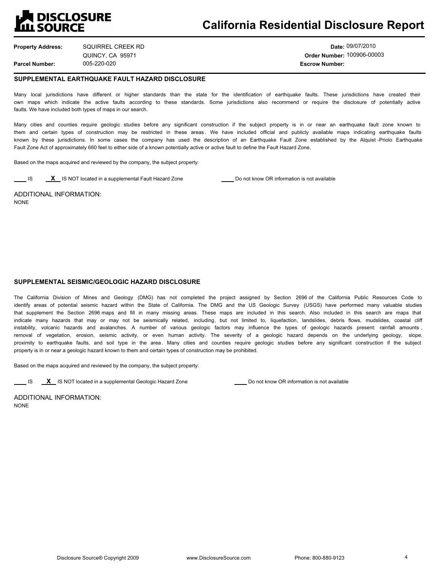

**Property Address: Parcel Number:** SQUIRREL CREEK RD QUINCY, CA 95971

**Date:** 09/07/2010 **Order Number:** 100906-00003 005-220-020 **Escrow Number:**

#### **SUPPLEMENTAL EARTHQUAKE FAULT HAZARD DISCLOSURE**

Many local jurisdictions have different or higher standards than the state for the identification of earthquake faults. These jurisdictions have created their own maps which indicate the active faults according to these standards. Some jurisdictions also recommend or require the disclosure of potentially active faults. We have included both types of maps in our search.

Many cities and counties require geologic studies before any significant construction if the subject property is in or near an earthquake fault zone known to them and certain types of construction may be restricted in these areas. We have included official and publicly available maps indicating earthquake faults known by these jurisdictions. In some cases the company has used the description of an Earthquake Fault Zone established by the Alquist -Priolo Earthquake Fault Zone Act of approximately 660 feet to either side of a known potentially active or active fault to define the Fault Hazard Zone.

Based on the maps acquired and reviewed by the company, the subject property:

**IS X** IS NOT located in a supplemental Fault Hazard Zone **Do not know OR** information is not available

ADDITIONAL INFORMATION: NONE

#### **SUPPLEMENTAL SEISMIC/GEOLOGIC HAZARD DISCLOSURE**

The California Division of Mines and Geology (DMG) has not completed the project assigned by Section 2696 of the California Public Resources Code to identify areas of potential seismic hazard within the State of California. The DMG and the US Geologic Survey (USGS) have performed many valuable studies that supplement the Section 2696 maps and fill in many missing areas. These maps are included in this search. Also included in this search are maps that indicate many hazards that may or may not be seismically related, including, but not limited to, liquefaction, landslides, debris flows, mudslides, coastal cliff instability, volcanic hazards and avalanches. A number of various geologic factors may influence the types of geologic hazards present: rainfall amounts, removal of vegetation, erosion, seismic activity, or even human activity. The severity of a geologic hazard depends on the underlying geology, slope, proximity to earthquake faults, and soil type in the area. Many cities and counties require geologic studies before any significant construction if the subject property is in or near a geologic hazard known to them and certain types of construction may be prohibited.

Based on the maps acquired and reviewed by the company, the subject property:

**IS X** IS NOT located in a supplemental Geologic Hazard Zone **Do not know OR** information is not available

ADDITIONAL INFORMATION: NONE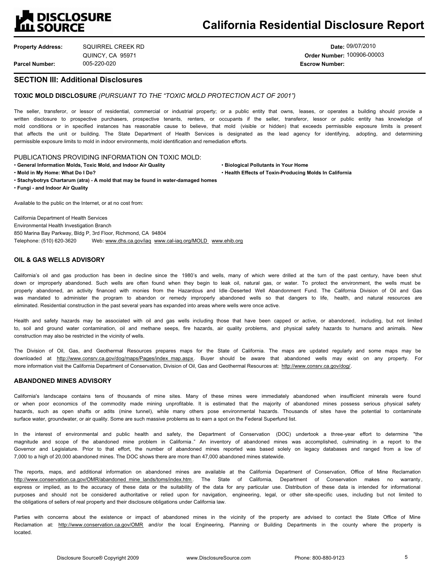## **EN DISCLOSURE<br>LILL SOURCE**

**Property Address: Parcel Number:** SQUIRREL CREEK RD QUINCY, CA 95971

**Date:** 09/07/2010 **Order Number:** 100906-00003 005-220-020 **Escrow Number:**

#### **SECTION III: Additional Disclosures**

#### **TOXIC MOLD DISCLOSURE** *(PURSUANT TO THE TOXIC MOLD PROTECTION ACT OF 2001)*

The seller, transferor, or lessor of residential, commercial or industrial property; or a public entity that owns, leases, or operates a building should provide a written disclosure to prospective purchasers, prospective tenants, renters, or occupants if the seller, transferor, lessor or public entity has knowledge of mold conditions or in specified instances has reasonable cause to believe, that mold (visible or hidden) that exceeds permissible exposure limits is present that affects the unit or building. The State Department of Health Services is designated as the lead agency for identifying, adopting, and determining permissible exposure limits to mold in indoor environments, mold identification and remediation efforts.

PUBLICATIONS PROVIDING INFORMATION ON TOXIC MOLD:

**General Information Molds, Toxic Mold, and Indoor Air Quality <b>by State Convention Pollutants in Your Home · Biological Pollutants in Your Home** 

**Mold in My Home: What Do I Do? Health Effects of Toxin-Producing Molds In California**

**Stachybotrys Chartarum (atra) - A mold that may be found in water-damaged homes**

**Fungi - and Indoor Air Quality**

Available to the public on the Internet, or at no cost from:

California Department of Health Services Environmental Health Investigation Branch 850 Marina Bay Parkway, Bldg P, 3rd Floor, Richmond, CA 94804 Telephone: (510) 620-3620 Web: www.dhs.ca.gov/iaq www.cal-iaq.org/MOLD www.ehib.org

#### **OIL & GAS WELLS ADVISORY**

California's oil and gas production has been in decline since the 1980's and wells, many of which were drilled at the turn of the past century, have been shut down or improperly abandoned. Such wells are often found when they begin to leak oil, natural gas, or water. To protect the environment, the wells must be properly abandoned, an activity financed with monies from the Hazardous and Idle -Deserted Well Abandonment Fund. The California Division of Oil and Gas was mandated to administer the program to abandon or remedy improperly abandoned wells so that dangers to life, health, and natural resources are eliminated. Residential construction in the past several years has expanded into areas where wells were once active.

Health and safety hazards may be associated with oil and gas wells including those that have been capped or active, or abandoned, including, but not limited to, soil and ground water contamination, oil and methane seeps, fire hazards, air quality problems, and physical safety hazards to humans and animals. New construction may also be restricted in the vicinity of wells.

The Division of Oil, Gas, and Geothermal Resources prepares maps for the State of California. The maps are updated regularly and some maps may be downloaded at http://www.consrv.ca.gov/dog/maps/Pages/index\_map.aspx. Buyer should be aware that abandoned wells may exist on any property. For more information visit the California Department of Conservation, Division of Oil, Gas and Geothermal Resources at: http://www.consrv.ca.gov/dog/.

#### **ABANDONED MINES ADVISORY**

California's landscape contains tens of thousands of mine sites. Many of these mines were immediately abandoned when insufficient minerals were found or when poor economics of the commodity made mining unprofitable. It is estimated that the majority of abandoned mines possess serious physical safety hazards, such as open shafts or adits (mine tunnel), while many others pose environmental hazards. Thousands of sites have the potential to contaminate surface water, groundwater, or air quality. Some are such massive problems as to earn a spot on the Federal Superfund list.

In the interest of environmental and public health and safety, the Department of Conservation (DOC) undertook a three-year effort to determine "the magnitude and scope of the abandoned mine problem in California." An inventory of abandoned mines was accomplished, culminating in a report to the Governor and Legislature. Prior to that effort, the number of abandoned mines reported was based solely on legacy databases and ranged from a low of 7,000 to a high of 20,000 abandoned mines. The DOC shows there are more than 47,000 abandoned mines statewide.

The reports, maps, and additional information on abandoned mines are available at the California Department of Conservation, Office of Mine Reclamation http://www.conservation.ca.gov/OMR/abandoned\_mine\_lands/toms/index.htm . The State of California, Department of Conservation makes no warranty , express or implied, as to the accuracy of these data or the suitability of the data for any particular use. Distribution of these data is intended for informational purposes and should not be considered authoritative or relied upon for navigation, engineering, legal, or other site-specific uses, including but not limited to the obligations of sellers of real property and their disclosure obligations under California law.

Parties with concerns about the existence or impact of abandoned mines in the vicinity of the property are advised to contact the State Office of Mine Reclamation at: http://www.conservation.ca.gov/OMR and/or the local Engineering, Planning or Building Departments in the county where the property is located.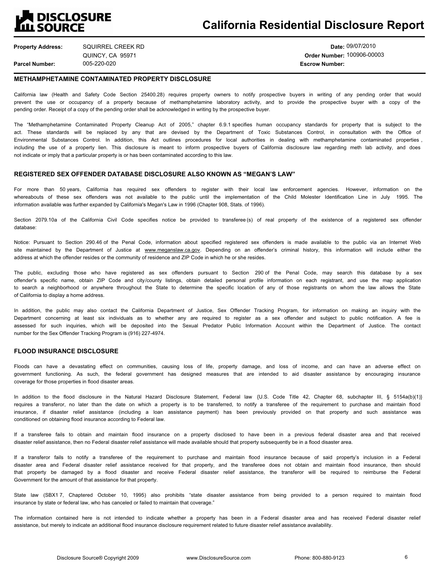### **QUESCLOSURE ILL SOURCE**

**Property Address: Parcel Number:** SQUIRREL CREEK RD QUINCY, CA 95971

005-220-020 **Escrow Number:**

**Date:** 09/07/2010 **Order Number:** 100906-00003

#### **METHAMPHETAMINE CONTAMINATED PROPERTY DISCLOSURE**

California law (Health and Safety Code Section 25400.28) requires property owners to notify prospective buyers in writing of any pending order that would prevent the use or occupancy of a property because of methamphetamine laboratory activity, and to provide the prospective buyer with a copy of the pending order. Receipt of a copy of the pending order shall be acknowledged in writing by the prospective buyer.

The "Methamphetamine Contaminated Property Cleanup Act of 2005," chapter 6.9.1 specifies human occupancy standards for property that is subject to the act. These standards will be replaced by any that are devised by the Department of Toxic Substances Control, in consultation with the Office of Environmental Substances Control. In addition, this Act outlines procedures for local authorities in dealing with methamphetamine contaminated properties , including the use of a property lien. This disclosure is meant to inform prospective buyers of California disclosure law regarding meth lab activity, and does not indicate or imply that a particular property is or has been contaminated according to this law.

#### **REGISTERED SEX OFFENDER DATABASE DISCLOSURE ALSO KNOWN AS "MEGAN'S LAW"**

For more than 50 years, California has required sex offenders to register with their local law enforcement agencies. However, information on the whereabouts of these sex offenders was not available to the public until the implementation of the Child Molester Identification Line in July 1995. The information available was further expanded by California's Megan's Law in 1996 (Chapter 908, Stats. of 1996).

Section 2079.10a of the California Civil Code specifies notice be provided to transferee (s) of real property of the existence of a registered sex offender database:

Notice: Pursuant to Section 290.46 of the Penal Code, information about specified registered sex offenders is made available to the public via an Internet Web site maintained by the Department of Justice at www.meganslaw.ca.gov. Depending on an offender's criminal history, this information will include either the address at which the offender resides or the community of residence and ZIP Code in which he or she resides.

The public, excluding those who have registered as sex offenders pursuant to Section 290 of the Penal Code, may search this database by a sex offender's specific name, obtain ZIP Code and city/county listings, obtain detailed personal profile information on each registrant, and use the map application to search a neighborhood or anywhere throughout the State to determine the specific location of any of those registrants on whom the law allows the State of California to display a home address.

In addition, the public may also contact the California Department of Justice, Sex Offender Tracking Program, for information on making an inquiry with the Department concerning at least six individuals as to whether any are required to register as a sex offender and subject to public notification. A fee is assessed for such inquiries, which will be deposited into the Sexual Predator Public Information Account within the Department of Justice. The contact number for the Sex Offender Tracking Program is (916) 227-4974.

#### **FLOOD INSURANCE DISCLOSURE**

Floods can have a devastating effect on communities, causing loss of life, property damage, and loss of income, and can have an adverse effect on government functioning. As such, the federal government has designed measures that are intended to aid disaster assistance by encouraging insurance coverage for those properties in flood disaster areas.

In addition to the flood disclosure in the Natural Hazard Disclosure Statement, Federal law {U.S. Code Title 42, Chapter 68, subchapter III, § 5154a(b)(1)} requires a transferor, no later than the date on which a property is to be transferred, to notify a transferee of the requirement to purchase and maintain flood insurance, if disaster relief assistance (including a loan assistance payment) has been previously provided on that property and such assistance was conditioned on obtaining flood insurance according to Federal law.

If a transferee fails to obtain and maintain flood insurance on a property disclosed to have been in a previous federal disaster area and that received disaster relief assistance, then no Federal disaster relief assistance will made available should that property subsequently be in a flood disaster area.

If a transferor fails to notify a transferee of the requirement to purchase and maintain flood insurance because of said propertys inclusion in a Federal disaster area and Federal disaster relief assistance received for that property, and the transferee does not obtain and maintain flood insurance, then should that property be damaged by a flood disaster and receive Federal disaster relief assistance, the transferor will be required to reimburse the Federal Government for the amount of that assistance for that property.

State law (SBX17, Chaptered October 10, 1995) also prohibits "state disaster assistance from being provided to a person required to maintain flood insurance by state or federal law, who has canceled or failed to maintain that coverage."

The information contained here is not intended to indicate whether a property has been in a Federal disaster area and has received Federal disaster relief assistance, but merely to indicate an additional flood insurance disclosure requirement related to future disaster relief assistance availability.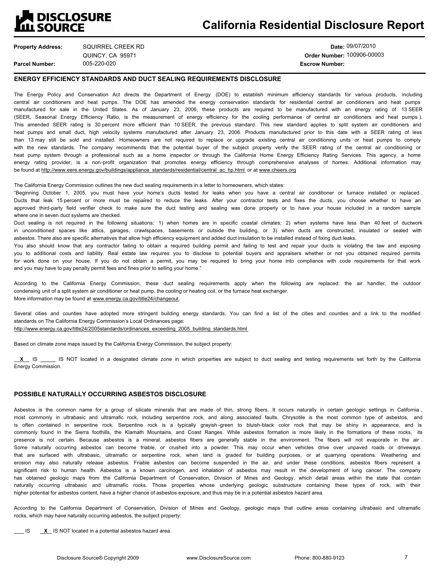## **A DISCLOSURE<br>LIL SOURCE**

| <b>Property Address:</b> | SQUIRREL CREEK RD | Date:                 |
|--------------------------|-------------------|-----------------------|
|                          | QUINCY, CA 95971  | <b>Order Number:</b>  |
| <b>Parcel Number:</b>    | 005-220-020       | <b>Escrow Number:</b> |

**Date:** 09/07/2010 **Order Number:** 100906-00003

#### **ENERGY EFFICIENCY STANDARDS AND DUCT SEALING REQUIREMENTS DISCLOSURE**

The Energy Policy and Conservation Act directs the Department of Energy (DOE) to establish minimum efficiency standards for various products, including central air conditioners and heat pumps. The DOE has amended the energy conservation standards for residential central air conditioners and heat pumps manufactured for sale in the United States. As of January 23, 2006, these products are required to be manufactured with an energy rating of 13 SEER (SEER, Seasonal Energy Efficiency Ratio, is the measurement of energy efficiency for the cooling performance of central air conditioners and heat pumps ). This amended SEER rating is 30 percent more efficient than 10 SEER, the previous standard. This new standard applies to split system air conditioners and heat pumps and small duct, high velocity systems manufactured after January 23, 2006. Products manufactured prior to this date with a SEER rating of less than 13 may still be sold and installed. Homeowners are not required to replace or upgrade existing central air conditioning units or heat pumps to comply with the new standards. The company recommends that the potential buyer of the subject property verify the SEER rating of the central air conditioning or heat pump system through a professional such as a home inspector or through the California Home Energy Efficiency Rating Services. This agency, a home energy rating provider, is a non-profit organization that promotes energy efficiency through comprehensive analyses of homes. Additional information may be found at http://www.eere.energy.gov/buildings/appliance\_standards/residential/central\_ac\_hp.html\_or at www.cheers.org

The California Energy Commission outlines the new duct sealing requirements in a letter to homeowners, which states:

"Beginning October 1, 2005, you must have your home's ducts tested for leaks when you have a central air conditioner or furnace installed or replaced. Ducts that leak 15 percent or more must be repaired to reduce the leaks. After your contractor tests and fixes the ducts, you choose whether to have an approved third-party field verifier check to make sure the duct testing and sealing was done properly or to have your house included in a random sample where one in seven duct systems are checked.

Duct sealing is not required in the following situations: 1) when homes are in specific coastal climates; 2) when systems have less than 40 feet of ductwork in unconditioned spaces like attics, garages, crawlspaces, basements or outside the building, or 3) when ducts are constructed, insulated or sealed with asbestos. There also are specific alternatives that allow high efficiency equipment and added duct insulation to be installed instead of fixing duct leaks.

You also should know that any contractor failing to obtain a required building permit and failing to test and repair your ducts is violating the law and exposing you to additional costs and liability. Real estate law requires you to disclose to potential buyers and appraisers whether or not you obtained required permits for work done on your house. If you do not obtain a permit, you may be required to bring your home into compliance with code requirements for that work and you may have to pay penalty permit fees and fines prior to selling your home."

According to the California Energy Commission, these duct sealing requirements apply when the following are replaced: the air handler, the outdoor condensing unit of a split system air conditioner or heat pump, the cooling or heating coil, or the furnace heat exchanger. More information may be found at www.energy.ca.gov/title24/changeout.

Several cities and counties have adopted more stringent building energy standards. You can find a list of the cities and counties and a link to the modified standards on The California Energy Commission's Local Ordinances page:

http://www.energy.ca.gov/title24/2005standards/ordinances\_exceeding\_2005\_building\_standards.html

Based on climate zone maps issued by the California Energy Commission, the subject property:

**X** IS IS NOT located in a designated climate zone in which properties are subject to duct sealing and testing requirements set forth by the California Energy Commission.

#### **POSSIBLE NATURALLY OCCURRING ASBESTOS DISCLOSURE**

Asbestos is the common name for a group of silicate minerals that are made of thin, strong fibers. It occurs naturally in certain geologic settings in California , most commonly in ultrabasic and ultramafic rock, including serpentine rock, and along associated faults. Chrysotile is the most common type of asbestos, and is often contained in serpentine rock. Serpentine rock is a typically grayish -green to bluish-black color rock that may be shiny in appearance, and is commonly found in the Sierra foothills, the Klamath Mountains, and Coast Ranges. While asbestos formation is more likely in the formations of these rocks, its presence is not certain. Because asbestos is a mineral, asbestos fibers are generally stable in the environment. The fibers will not evaporate in the air . Some naturally occurring asbestos can become friable, or crushed into a powder. This may occur when vehicles drive over unpaved roads or driveways that are surfaced with ultrabasic, ultramafic or serpentine rock, when land is graded for building purposes, or at quarrying operations. Weathering and erosion may also naturally release asbestos. Friable asbestos can become suspended in the air, and under these conditions, asbestos fibers represent a significant risk to human health. Asbestos is a known carcinogen, and inhalation of asbestos may result in the development of lung cancer. The company has obtained geologic maps from the California Department of Conservation, Division of Mines and Geology, which detail areas within the state that contain naturally occurring ultrabasic and ultramafic rocks. Those properties whose underlying geologic substructure containing these types of rock, with their higher potential for asbestos content, have a higher chance of asbestos exposure, and thus may be in a potential asbestos hazard area.

According to the California Department of Conservation, Division of Mines and Geology, geologic maps that outline areas containing ultrabasic and ultramafic rocks, which may have naturally occurring asbestos, the subject property:

IS **X** IS NOT located in a potential asbestos hazard area.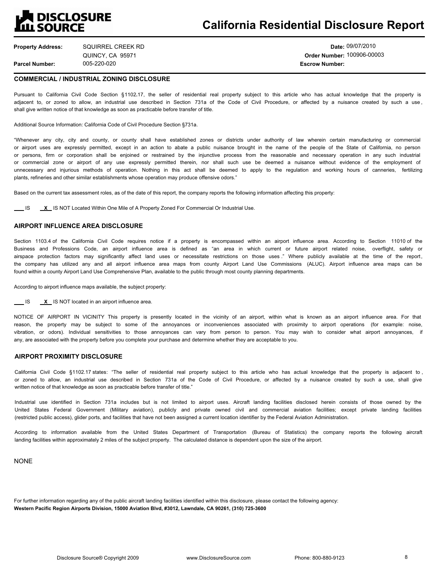## **DISCLOSURE ILL SOURCE**

## **California Residential Disclosure Report**

**Property Address: Parcel Number:** SQUIRREL CREEK RD QUINCY, CA 95971

**Date:** 09/07/2010 **Order Number:** 100906-00003 005-220-020 **Escrow Number:**

#### **COMMERCIAL / INDUSTRIAL ZONING DISCLOSURE**

Pursuant to California Civil Code Section §1102.17, the seller of residential real property subject to this article who has actual knowledge that the property is adjacent to, or zoned to allow, an industrial use described in Section 731a of the Code of Civil Procedure, or affected by a nuisance created by such a use, shall give written notice of that knowledge as soon as practicable before transfer of title.

Additional Source Information: California Code of Civil Procedure Section §731a.

Whenever any city, city and county, or county shall have established zones or districts under authority of law wherein certain manufacturing or commercial or airport uses are expressly permitted, except in an action to abate a public nuisance brought in the name of the people of the State of California, no person or persons, firm or corporation shall be enjoined or restrained by the injunctive process from the reasonable and necessary operation in any such industrial or commercial zone or airport of any use expressly permitted therein, nor shall such use be deemed a nuisance without evidence of the employment of unnecessary and injurious methods of operation. Nothing in this act shall be deemed to apply to the regulation and working hours of canneries, fertilizing plants, refineries and other similar establishments whose operation may produce offensive odors.

Based on the current tax assessment roles, as of the date of this report, the company reports the following information affecting this property:

**IS X IS NOT Located Within One Mile of A Property Zoned For Commercial Or Industrial Use.** 

#### **AIRPORT INFLUENCE AREA DISCLOSURE**

Section 1103.4 of the California Civil Code requires notice if a property is encompassed within an airport influence area. According to Section 11010 of the Business and Professions Code, an airport influence area is defined as "an area in which current or future airport related noise, overflight, safety or airspace protection factors may significantly affect land uses or necessitate restrictions on those uses." Where publicly available at the time of the report, the company has utilized any and all airport influence area maps from county Airport Land Use Commissions (ALUC). Airport influence area maps can be found within a county Airport Land Use Comprehensive Plan, available to the public through most county planning departments.

According to airport influence maps available, the subject property:

IS **X** IS NOT located in an airport influence area.

NOTICE OF AIRPORT IN VICINITY This property is presently located in the vicinity of an airport, within what is known as an airport influence area. For that reason, the property may be subject to some of the annoyances or inconveniences associated with proximity to airport operations (for example: noise, vibration, or odors). Individual sensitivities to those annoyances can vary from person to person. You may wish to consider what airport annoyances, if any, are associated with the property before you complete your purchase and determine whether they are acceptable to you.

#### **AIRPORT PROXIMITY DISCLOSURE**

California Civil Code §1102.17 states: "The seller of residential real property subject to this article who has actual knowledge that the property is adjacent to, or zoned to allow, an industrial use described in Section 731a of the Code of Civil Procedure, or affected by a nuisance created by such a use, shall give written notice of that knowledge as soon as practicable before transfer of title."

Industrial use identified in Section 731a includes but is not limited to airport uses. Aircraft landing facilities disclosed herein consists of those owned by the United States Federal Government (Military aviation), publicly and private owned civil and commercial aviation facilities; except private landing facilities (restricted public access), glider ports, and facilities that have not been assigned a current location identifier by the Federal Aviation Administration.

According to information available from the United States Department of Transportation (Bureau of Statistics) the company reports the following aircraft landing facilities within approximately 2 miles of the subject property. The calculated distance is dependent upon the size of the airport.

NONE

For further information regarding any of the public aircraft landing facilities identified within this disclosure, please contact the following agency: **Western Pacific Region Airports Division, 15000 Aviation Blvd, #3012, Lawndale, CA 90261, (310) 725-3600**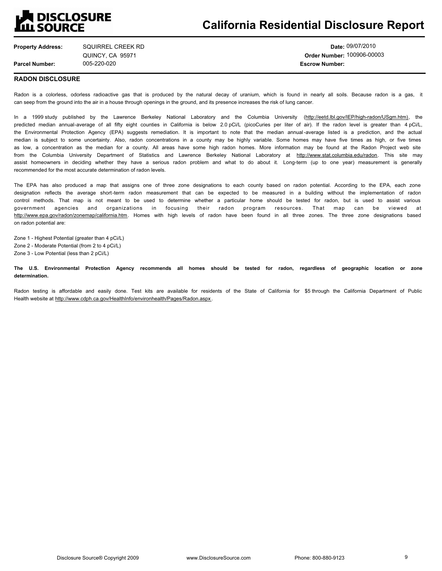## **DISCLOSURE ILL SOURCE**

## **California Residential Disclosure Report**

**Property Address:** SQUIRREL CREEK RD

005-220-020 **Escrow Number:** QUINCY, CA 95971

**Date:** 09/07/2010 **Order Number:** 100906-00003

#### **RADON DISCLOSURE**

**Parcel Number:**

Radon is a colorless, odorless radioactive gas that is produced by the natural decay of uranium, which is found in nearly all soils. Because radon is a gas, it can seep from the ground into the air in a house through openings in the ground, and its presence increases the risk of lung cancer.

In a 1999 study published by the Lawrence Berkeley National Laboratory and the Columbia University (http://eetd.lbl.gov/IEP/high-radon/USgm.htm), the predicted median annual-average of all fifty eight counties in California is below 2.0 pCi/L (picoCuries per liter of air). If the radon level is greater than 4 pCi/L, the Environmental Protection Agency (EPA) suggests remediation. It is important to note that the median annual -average listed is a prediction, and the actual median is subject to some uncertainty. Also, radon concentrations in a county may be highly variable. Some homes may have five times as high, or five times as low, a concentration as the median for a county. All areas have some high radon homes. More information may be found at the Radon Project web site from the Columbia University Department of Statistics and Lawrence Berkeley National Laboratory at http://www.stat.columbia.edu/radon. This site may assist homeowners in deciding whether they have a serious radon problem and what to do about it. Long-term (up to one year) measurement is generally recommended for the most accurate determination of radon levels.

The EPA has also produced a map that assigns one of three zone designations to each county based on radon potential. According to the EPA, each zone designation reflects the average short -term radon measurement that can be expected to be measured in a building without the implementation of radon control methods. That map is not meant to be used to determine whether a particular home should be tested for radon, but is used to assist various government agencies and organizations in focusing their radon program resources. That map can be viewed at http://www.epa.gov/radon/zonemap/california.htm. Homes with high levels of radon have been found in all three zones. The three zone designations based on radon potential are:

Zone 1 - Highest Potential (greater than 4 pCi/L) Zone 2 - Moderate Potential (from 2 to 4 pCi/L) Zone 3 - Low Potential (less than 2 pCi/L)

**The U.S. Environmental Protection Agency recommends all homes should be tested for radon, regardless of geographic location or zone determination.**

Radon testing is affordable and easily done. Test kits are available for residents of the State of California for \$5 through the California Department of Public Health website at http://www.cdph.ca.gov/HealthInfo/environhealth/Pages/Radon.aspx .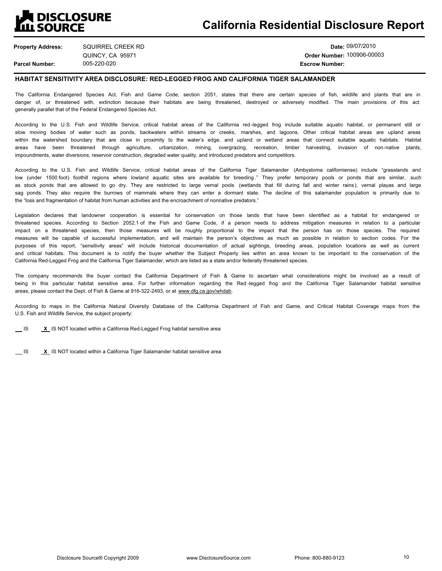## **DISCLOSURE III SOURCE**

**Property Address: Parcel Number:** 005-220-020 **Escrow Number:** SQUIRREL CREEK RD QUINCY, CA 95971

**Date:** 09/07/2010 **Order Number:** 100906-00003

#### **HABITAT SENSITIVITY AREA DISCLOSURE: RED-LEGGED FROG AND CALIFORNIA TIGER SALAMANDER**

The California Endangered Species Act, Fish and Game Code, section 2051, states that there are certain species of fish, wildlife and plants that are in danger of, or threatened with, extinction because their habitats are being threatened, destroyed or adversely modified. The main provisions of this act generally parallel that of the Federal Endangered Species Act.

According to the U.S. Fish and Wildlife Service, critical habitat areas of the California red -legged frog include suitable aquatic habitat, or permanent still or slow moving bodies of water such as ponds, backwaters within streams or creeks, marshes, and lagoons. Other critical habitat areas are upland areas within the watershed boundary that are close in proximity to the water's edge, and upland or wetland areas that connect suitable aquatic habitats. Habitat areas have been threatened through agriculture, urbanization, mining, overgrazing, recreation, timber harvesting, invasion of non-native plants, impoundments, water diversions, reservoir construction, degraded water quality, and introduced predators and competitors.

According to the U.S. Fish and Wildlife Service, critical habitat areas of the California Tiger Salamander (Ambystoma californiense) include "grasslands and low (under 1500 foot) foothill regions where lowland aquatic sites are available for breeding." They prefer temporary pools or ponds that are similar, such as stock ponds that are allowed to go dry. They are restricted to large vernal pools (wetlands that fill during fall and winter rains), vernal playas and large sag ponds. They also require the burrows of mammals where they can enter a dormant state. The decline of this salamander population is primarily due to the "loss and fragmentation of habitat from human activities and the encroachment of nonnative predators."

Legislation declares that landowner cooperation is essential for conservation on those lands that have been identified as a habitat for endangered or threatened species. According to Section 2052.1 of the Fish and Game Code, if a person needs to address mitigation measures in relation to a particular impact on a threatened species, then those measures will be roughly proportional to the impact that the person has on those species. The required measures will be capable of successful implementation, and will maintain the person's objectives as much as possible in relation to section codes. For the purposes of this report, "sensitivity areas" will include historical documentation of actual sightings, breeding areas, population locations as well as current and critical habitats. This document is to notify the buyer whether the Subject Property lies within an area known to be important to the conservation of the California Red-Legged Frog and the California Tiger Salamander, which are listed as a state and/or federally threatened species.

The company recommends the buyer contact the California Department of Fish & Game to ascertain what considerations might be involved as a result of being in this particular habitat sensitive area. For further information regarding the Red -legged frog and the California Tiger Salamander habitat sensitive areas, please contact the Dept. of Fish & Game at 916-322-2493, or at www.dfg.ca.gov/whdab.

According to maps in the California Natural Diversity Database of the California Department of Fish and Game, and Critical Habitat Coverage maps from the U.S. Fish and Wildlife Service, the subject property:

**IS X IS NOT located within a California Red-Legged Frog habitat sensitive area** 

**IS X IS NOT located within a California Tiger Salamander habitat sensitive area**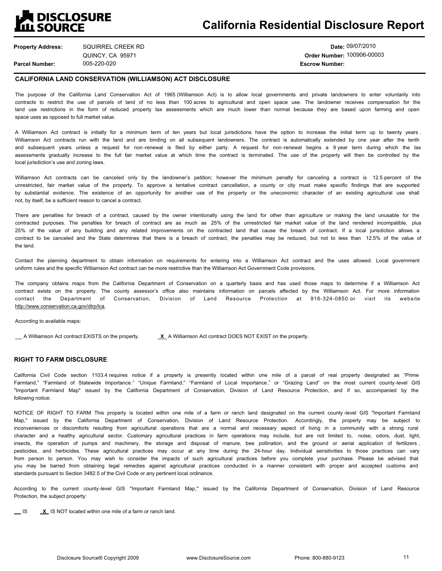## **THE DISCLOSURE**<br>LILL SOURCE

**Property Address:** SQUIRREL CREEK RD QUINCY, CA 95971

**Parcel Number:**

005-220-020 **Escrow Number:**

**Date:** 09/07/2010 **Order Number:** 100906-00003

#### **CALIFORNIA LAND CONSERVATION (WILLIAMSON) ACT DISCLOSURE**

The purpose of the California Land Conservation Act of 1965 (Williamson Act) is to allow local governments and private landowners to enter voluntarily into contracts to restrict the use of parcels of land of no less than 100 acres to agricultural and open space use. The landowner receives compensation for the land use restrictions in the form of reduced property tax assessments which are much lower than normal because they are based upon farming and open space uses as opposed to full market value.

A Williamson Act contract is initially for a minimum term of ten years but local jurisdictions have the option to increase the initial term up to twenty years . Williamson Act contracts run with the land and are binding on all subsequent landowners. The contract is automatically extended by one year after the tenth and subsequent years unless a request for non -renewal is filed by either party. A request for non -renewal begins a 9 year term during which the tax assessments gradually increase to the full fair market value at which time the contract is terminated. The use of the property will then be controlled by the local jurisdiction's use and zoning laws.

Williamson Act contracts can be canceled only by the landowner's petition; however the minimum penalty for canceling a contract is 12.5 percent of the unrestricted, fair market value of the property. To approve a tentative contract cancellation, a county or city must make specific findings that are supported by substantial evidence. The existence of an opportunity for another use of the property or the uneconomic character of an existing agricultural use shall not, by itself, be a sufficient reason to cancel a contract.

There are penalties for breach of a contract, caused by the owner intentionally using the land for other than agriculture or making the land unusable for the contracted purposes. The penalties for breach of contract are as much as 25% of the unrestricted fair market value of the land rendered incompatible, plus 25% of the value of any building and any related improvements on the contracted land that cause the breach of contract. If a local jurisdiction allows a contract to be canceled and the State determines that there is a breach of contract, the penalties may be reduced, but not to less than 12.5% of the value of the land.

Contact the planning department to obtain information on requirements for entering into a Williamson Act contract and the uses allowed. Local government uniform rules and the specific Williamson Act contract can be more restrictive than the Williamson Act Government Code provisions.

The company obtains maps from the California Department of Conservation on a quarterly basis and has used those maps to determine if a Williamson Act contract exists on the property. The county assessor's office also maintains information on parcels affected by the Williamson Act. For more information contact the Department of Conservation, Division of Land Resource Protection at 916-324-0850 or visit its http://www.conservation.ca.gov/dlrp/lca.

According to available maps:

A Williamson Act contract EXISTS on the property. **X** A Williamson Act contract DOES NOT EXIST on the property.

#### **RIGHT TO FARM DISCLOSURE**

California Civil Code section 1103.4 requires notice if a property is presently located within one mile of a parcel of real property designated as "Prime Farmland," "Farmland of Statewide Importance." "Unique Farmland," "Farmland of Local Importance," or "Grazing Land" on the most current county-level GIS "Important Farmland Map" issued by the California Department of Conservation, Division of Land Resource Protection, and if so, accompanied by the following notice:

NOTICE OF RIGHT TO FARM This property is located within one mile of a farm or ranch land designated on the current county -level GIS "Important Farmland Map," issued by the California Department of Conservation, Division of Land Resource Protection. Accordingly, the property may be subject to inconveniences or discomforts resulting from agricultural operations that are a normal and necessary aspect of living in a community with a strong rural character and a healthy agricultural sector. Customary agricultural practices in farm operations may include, but are not limited to, noise, odors, dust, light, insects, the operation of pumps and machinery, the storage and disposal of manure, bee pollination, and the ground or aerial application of fertilizers , pesticides, and herbicides. These agricultural practices may occur at any time during the 24-hour day. Individual sensitivities to those practices can vary from person to person. You may wish to consider the impacts of such agricultural practices before you complete your purchase. Please be advised that you may be barred from obtaining legal remedies against agricultural practices conducted in a manner consistent with proper and accepted customs and standards pursuant to Section 3482.5 of the Civil Code or any pertinent local ordinance.

According to the current county -level GIS "Important Farmland Map," issued by the California Department of Conservation, Division of Land Resource Protection, the subject property:

**IS X IS NOT located within one mile of a farm or ranch land.**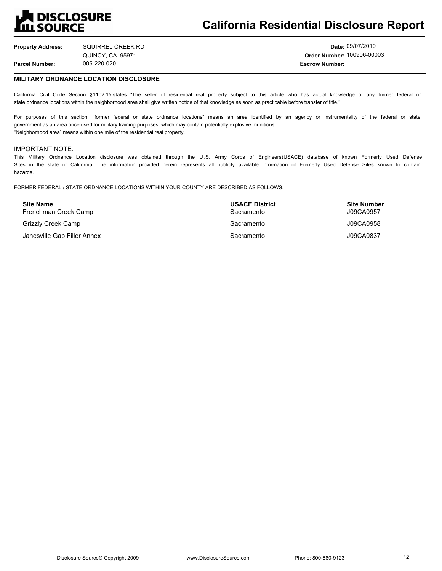## **DISCLOSURE III SOURCE**

## **California Residential Disclosure Report**

**Property Address: Parcel Number:** 005-220-020 **Escrow Number:** SQUIRREL CREEK RD QUINCY, CA 95971

**Date:** 09/07/2010 **Order Number:** 100906-00003

#### **MILITARY ORDNANCE LOCATION DISCLOSURE**

California Civil Code Section §1102.15 states "The seller of residential real property subject to this article who has actual knowledge of any former federal or state ordnance locations within the neighborhood area shall give written notice of that knowledge as soon as practicable before transfer of title."

For purposes of this section, "former federal or state ordnance locations" means an area identified by an agency or instrumentality of the federal or state government as an area once used for military training purposes, which may contain potentially explosive munitions. "Neighborhood area" means within one mile of the residential real property.

#### IMPORTANT NOTE:

This Military Ordnance Location disclosure was obtained through the U .S. Army Corps of Engineers(USACE) database of known Formerly Used Defense Sites in the state of California. The information provided herein represents all publicly available information of Formerly Used Defense Sites known to contain hazards.

FORMER FEDERAL / STATE ORDNANCE LOCATIONS WITHIN YOUR COUNTY ARE DESCRIBED AS FOLLOWS:

| <b>Site Name</b><br>Frenchman Creek Camp | <b>USACE District</b><br>Sacramento | <b>Site Number</b><br>J09CA0957 |
|------------------------------------------|-------------------------------------|---------------------------------|
| Grizzly Creek Camp                       | Sacramento                          | J09CA0958                       |
| Janesville Gap Filler Annex              | Sacramento                          | J09CA0837                       |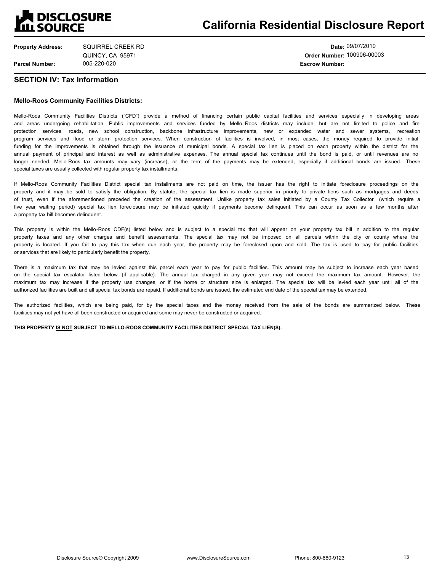## **Q** DISCLOSURE III SOURCE

**Property Address: Parcel Number:** SQUIRREL CREEK RD QUINCY, CA 95971

**Date:** 09/07/2010 **Order Number:** 100906-00003 005-220-020 **Escrow Number:**

#### **SECTION IV: Tax Information**

#### **Mello-Roos Community Facilities Districts:**

Mello-Roos Community Facilities Districts ("CFD") provide a method of financing certain public capital facilities and services especially in developing areas and areas undergoing rehabilitation. Public improvements and services funded by Mello -Roos districts may include, but are not limited to police and fire protection services, roads, new school construction, backbone infrastructure improvements, new or expanded water and sewer systems, recreation program services and flood or storm protection services. When construction of facilities is involved, in most cases, the money required to provide initial funding for the improvements is obtained through the issuance of municipal bonds. A special tax lien is placed on each property within the district for the annual payment of principal and interest as well as administrative expenses. The annual special tax continues until the bond is paid, or until revenues are no longer needed. Mello-Roos tax amounts may vary (increase), or the term of the payments may be extended, especially if additional bonds are issued. These special taxes are usually collected with regular property tax installments.

If Mello-Roos Community Facilities District special tax installments are not paid on time, the issuer has the right to initiate foreclosure proceedings on the property and it may be sold to satisfy the obligation. By statute, the special tax lien is made superior in priority to private liens such as mortgages and deeds of trust, even if the aforementioned preceded the creation of the assessment. Unlike property tax sales initiated by a County Tax Collector (which require a five year waiting period) special tax lien foreclosure may be initiated quickly if payments become delinquent. This can occur as soon as a few months after a property tax bill becomes delinquent.

This property is within the Mello-Roos CDF(s) listed below and is subject to a special tax that will appear on your property tax bill in addition to the regular property taxes and any other charges and benefit assessments. The special tax may not be imposed on all parcels within the city or county where the property is located. If you fail to pay this tax when due each year, the property may be foreclosed upon and sold. The tax is used to pay for public facilities or services that are likely to particularly benefit the property.

There is a maximum tax that may be levied against this parcel each year to pay for public facilities. This amount may be subject to increase each year based on the special tax escalator listed below (if applicable). The annual tax charged in any given year may not exceed the maximum tax amount. However, the maximum tax may increase if the property use changes, or if the home or structure size is enlarged. The special tax will be levied each year until all of the authorized facilities are built and all special tax bonds are repaid. If additional bonds are issued, the estimated end date of the special tax may be extended.

The authorized facilities, which are being paid, for by the special taxes and the money received from the sale of the bonds are summarized below. These facilities may not yet have all been constructed or acquired and some may never be constructed or acquired.

**THIS PROPERTY IS NOT SUBJECT TO MELLO-ROOS COMMUNITY FACILITIES DISTRICT SPECIAL TAX LIEN(S).**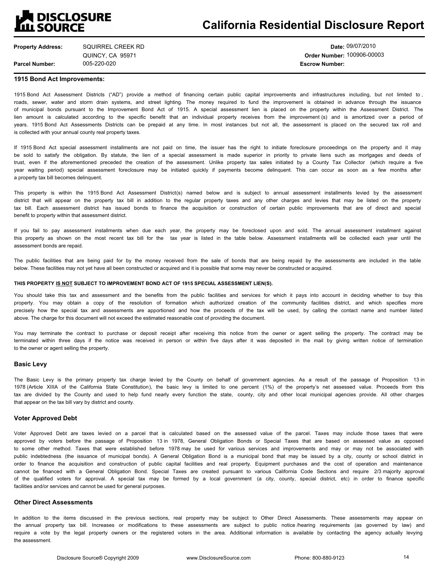## **A DISCLOSURE<br>LILL SOURCE**

## **California Residential Disclosure Report**

**Property Address: Parcel Number:** SQUIRREL CREEK RD QUINCY, CA 95971

005-220-020 **Escrow Number:**

**Date:** 09/07/2010 **Order Number:** 100906-00003

#### **1915 Bond Act Improvements:**

1915 Bond Act Assessment Districts ("AD") provide a method of financing certain public capital improvements and infrastructures including, but not limited to, roads, sewer, water and storm drain systems, and street lighting. The money required to fund the improvement is obtained in advance through the issuance of municipal bonds pursuant to the Improvement Bond Act of 1915. A special assessment lien is placed on the property within the Assessment District. The lien amount is calculated according to the specific benefit that an individual property receives from the improvement (s) and is amortized over a period of years. 1915 Bond Act Assessments Districts can be prepaid at any time. In most instances but not all, the assessment is placed on the secured tax roll and is collected with your annual county real property taxes.

If 1915 Bond Act special assessment installments are not paid on time, the issuer has the right to initiate foreclosure proceedings on the property and it may be sold to satisfy the obligation. By statute, the lien of a special assessment is made superior in priority to private liens such as mortgages and deeds of trust, even if the aforementioned preceded the creation of the assessment. Unlike property tax sales initiated by a County Tax Collector (which require a five year waiting period) special assessment foreclosure may be initiated quickly if payments become delinquent. This can occur as soon as a few months after a property tax bill becomes delinquent.

This property is within the 1915 Bond Act Assessment District(s) named below and is subject to annual assessment installments levied by the assessment district that will appear on the property tax bill in addition to the regular property taxes and any other charges and levies that may be listed on the property tax bill. Each assessment district has issued bonds to finance the acquisition or construction of certain public improvements that are of direct and special benefit to property within that assessment district.

If you fail to pay assessment installments when due each year, the property may be foreclosed upon and sold. The annual assessment installment against this property as shown on the most recent tax bill for the tax year is listed in the table below. Assessment installments will be collected each year until the assessment bonds are repaid.

The public facilities that are being paid for by the money received from the sale of bonds that are being repaid by the assessments are included in the table below. These facilities may not yet have all been constructed or acquired and it is possible that some may never be constructed or acquired.

#### **THIS PROPERTY IS NOT SUBJECT TO IMPROVEMENT BOND ACT OF 1915 SPECIAL ASSESSMENT LIEN(S).**

You should take this tax and assessment and the benefits from the public facilities and services for which it pays into account in deciding whether to buy this property. You may obtain a copy of the resolution of formation which authorized creation of the community facilities district, and which specifies more precisely how the special tax and assessments are apportioned and how the proceeds of the tax will be used, by calling the contact name and number listed above. The charge for this document will not exceed the estimated reasonable cost of providing the document.

You may terminate the contract to purchase or deposit receipt after receiving this notice from the owner or agent selling the property. The contract may be terminated within three days if the notice was received in person or within five days after it was deposited in the mail by giving written notice of termination to the owner or agent selling the property.

#### **Basic Levy**

The Basic Levy is the primary property tax charge levied by the County on behalf of government agencies. As a result of the passage of Proposition 13 in 1978 (Article XIIIA of the California State Constitution), the basic levy is limited to one percent (1%) of the property's net assessed value. Proceeds from this tax are divided by the County and used to help fund nearly every function the state, county, city and other local municipal agencies provide. All other charges that appear on the tax bill vary by district and county.

#### **Voter Approved Debt**

Voter Approved Debt are taxes levied on a parcel that is calculated based on the assessed value of the parcel. Taxes may include those taxes that were approved by voters before the passage of Proposition 13 in 1978, General Obligation Bonds or Special Taxes that are based on assessed value as opposed to some other method. Taxes that were established before 1978 may be used for various services and improvements and may or may not be associated with public indebtedness (the issuance of municipal bonds). A General Obligation Bond is a municipal bond that may be issued by a city, county or school district in order to finance the acquisition and construction of public capital facilities and real property. Equipment purchases and the cost of operation and maintenance cannot be financed with a General Obligation Bond. Special Taxes are created pursuant to various California Code Sections and require 2/3 majority approval of the qualified voters for approval. A special tax may be formed by a local government (a city, county, special district, etc) in order to finance specific facilities and/or services and cannot be used for general purposes.

#### **Other Direct Assessments**

In addition to the items discussed in the previous sections, real property may be subject to Other Direct Assessments. These assessments may appear on the annual property tax bill. Increases or modifications to these assessments are subject to public notice /hearing requirements (as governed by law) and require a vote by the legal property owners or the registered voters in the area. Additional information is available by contacting the agency actually levying the assessment.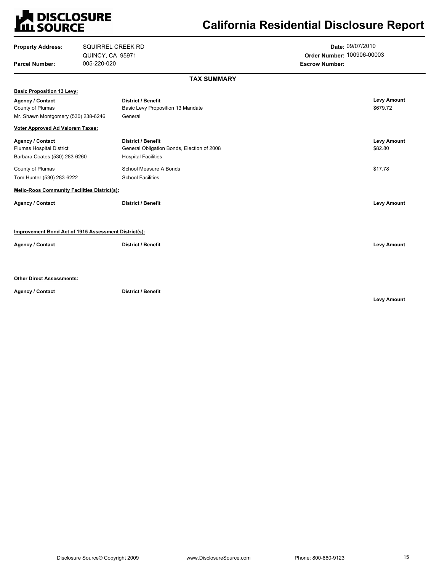# **LA DISCLOSURE<br>LILI SOURCE**

## **California Residential Disclosure Report**

| <b>Property Address:</b>                             | SQUIRREL CREEK RD |                                            | Date: 09/07/2010           |                    |
|------------------------------------------------------|-------------------|--------------------------------------------|----------------------------|--------------------|
|                                                      | QUINCY, CA 95971  |                                            | Order Number: 100906-00003 |                    |
| <b>Parcel Number:</b>                                | 005-220-020       |                                            | <b>Escrow Number:</b>      |                    |
|                                                      |                   | <b>TAX SUMMARY</b>                         |                            |                    |
| <b>Basic Proposition 13 Levy:</b>                    |                   |                                            |                            |                    |
| <b>Agency / Contact</b>                              |                   | <b>District / Benefit</b>                  |                            | <b>Levy Amount</b> |
| County of Plumas                                     |                   | Basic Levy Proposition 13 Mandate          |                            | \$679.72           |
| Mr. Shawn Montgomery (530) 238-6246                  |                   | General                                    |                            |                    |
| <b>Voter Approved Ad Valorem Taxes:</b>              |                   |                                            |                            |                    |
| <b>Agency / Contact</b>                              |                   | <b>District / Benefit</b>                  |                            | <b>Levy Amount</b> |
| Plumas Hospital District                             |                   | General Obligation Bonds, Election of 2008 |                            | \$82.80            |
| Barbara Coates (530) 283-6260                        |                   | <b>Hospital Facilities</b>                 |                            |                    |
| County of Plumas                                     |                   | School Measure A Bonds                     |                            | \$17.78            |
| Tom Hunter (530) 283-6222                            |                   | <b>School Facilities</b>                   |                            |                    |
| <b>Mello-Roos Community Facilities District(s):</b>  |                   |                                            |                            |                    |
| Agency / Contact                                     |                   | <b>District / Benefit</b>                  |                            | <b>Levy Amount</b> |
| Improvement Bond Act of 1915 Assessment District(s): |                   |                                            |                            |                    |
| Agency / Contact                                     |                   | <b>District / Benefit</b>                  |                            | <b>Levy Amount</b> |
|                                                      |                   |                                            |                            |                    |
| <b>Other Direct Assessments:</b>                     |                   |                                            |                            |                    |
|                                                      |                   |                                            |                            |                    |
| <b>Agency / Contact</b>                              |                   | <b>District / Benefit</b>                  |                            |                    |

**Levy Amount**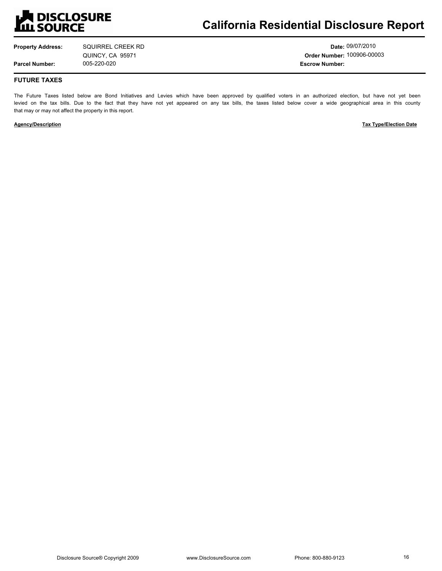

**Property Address: Parcel Number:** SQUIRREL CREEK RD QUINCY, CA 95971

**Date:** 09/07/2010 **Order Number:** 100906-00003 005-220-020 **Escrow Number:**

#### **FUTURE TAXES**

The Future Taxes listed below are Bond Initiatives and Levies which have been approved by qualified voters in an authorized election, but have not yet been levied on the tax bills. Due to the fact that they have not yet appeared on any tax bills, the taxes listed below cover a wide geographical area in this county that may or may not affect the property in this report.

**Agency/Description** Tax Type/Election Date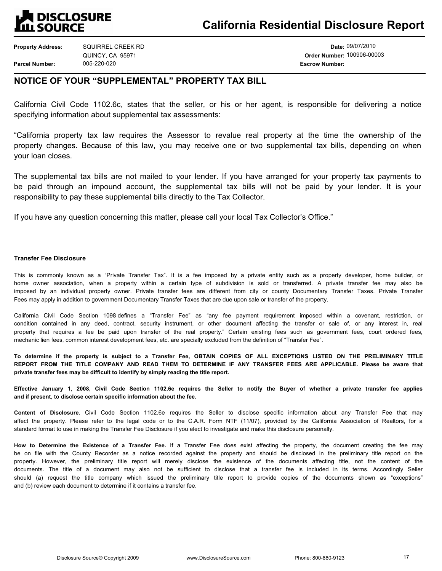### **DISCLOSURE ILL SOURCE**

**Property Address: Parcel Number:** 005-220-020 **Escrow Number:** SQUIRREL CREEK RD QUINCY, CA 95971

**Date:** 09/07/2010 **Order Number:** 100906-00003

### **NOTICE OF YOUR "SUPPLEMENTAL" PROPERTY TAX BILL**

California Civil Code 1102.6c, states that the seller, or his or her agent, is responsible for delivering a notice specifying information about supplemental tax assessments:

California property tax law requires the Assessor to revalue real property at the time the ownership of the property changes. Because of this law, you may receive one or two supplemental tax bills, depending on when your loan closes.

The supplemental tax bills are not mailed to your lender. If you have arranged for your property tax payments to be paid through an impound account, the supplemental tax bills will not be paid by your lender. It is your responsibility to pay these supplemental bills directly to the Tax Collector.

If you have any question concerning this matter, please call your local Tax Collector's Office."

#### **Transfer Fee Disclosure**

This is commonly known as a "Private Transfer Tax". It is a fee imposed by a private entity such as a property developer, home builder, or home owner association, when a property within a certain type of subdivision is sold or transferred. A private transfer fee may also be imposed by an individual property owner. Private transfer fees are different from city or county Documentary Transfer Taxes. Private Transfer Fees may apply in addition to government Documentary Transfer Taxes that are due upon sale or transfer of the property.

California Civil Code Section 1098 defines a "Transfer Fee" as "any fee payment requirement imposed within a covenant, restriction, or condition contained in any deed, contract, security instrument, or other document affecting the transfer or sale of, or any interest in, real property that requires a fee be paid upon transfer of the real property." Certain existing fees such as government fees, court ordered fees, mechanic lien fees, common interest development fees, etc. are specially excluded from the definition of "Transfer Fee".

**To determine if the property is subject to a Transfer Fee, OBTAIN COPIES OF ALL EXCEPTIONS LISTED ON THE PRELIMINARY TITLE REPORT FROM THE TITLE COMPANY AND READ THEM TO DETERMINE IF ANY TRANSFER FEES ARE APPLICABLE. Please be aware that private transfer fees may be difficult to identify by simply reading the title report.** 

**Effective January 1, 2008, Civil Code Section 1102.6e requires the Seller to notify the Buyer of whether a private transfer fee applies and if present, to disclose certain specific information about the fee.**

**Content of Disclosure.** Civil Code Section 1102.6e requires the Seller to disclose specific information about any Transfer Fee that may affect the property. Please refer to the legal code or to the C.A.R. Form NTF (11/07), provided by the California Association of Realtors, for a standard format to use in making the Transfer Fee Disclosure if you elect to investigate and make this disclosure personally.

**How to Determine the Existence of a Transfer Fee.** If a Transfer Fee does exist affecting the property, the document creating the fee may be on file with the County Recorder as a notice recorded against the property and should be disclosed in the preliminary title report on the property. However, the preliminary title report will merely disclose the existence of the documents affecting title, not the content of the documents. The title of a document may also not be sufficient to disclose that a transfer fee is included in its terms. Accordingly Seller should (a) request the title company which issued the preliminary title report to provide copies of the documents shown as "exceptions" and (b) review each document to determine if it contains a transfer fee.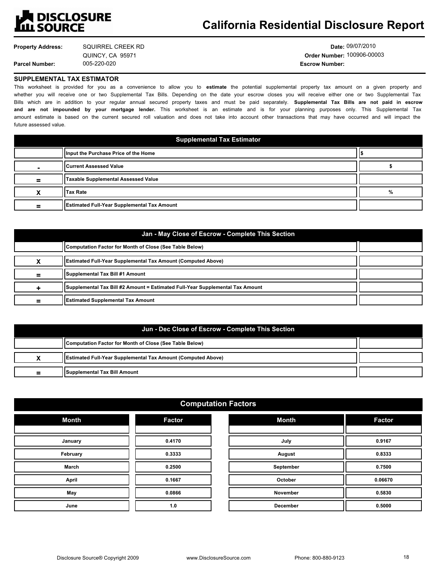

**Property Address:**

**Parcel Number:**

005-220-020 **Escrow Number:** SQUIRREL CREEK RD QUINCY, CA 95971

**Date:** 09/07/2010 **Order Number:** 100906-00003

#### **SUPPLEMENTAL TAX ESTIMATOR**

This worksheet is provided for you as a convenience to allow you to **estimate** the potential supplemental property tax amount on a given property and whether you will receive one or two Supplemental Tax Bills. Depending on the date your escrow closes you will receive either one or two Supplemental Tax Bills which are in addition to your regular annual secured property taxes and must be paid separately. **Supplemental Tax Bills are not paid in escrow and are not impounded by your mortgage lender.** This worksheet is an estimate and is for your planning purposes only. This Supplemental Tax amount estimate is based on the current secured roll valuation and does not take into account other transactions that may have occurred and will impact the future assessed value.

| <b>Supplemental Tax Estimator</b> |                                             |   |
|-----------------------------------|---------------------------------------------|---|
|                                   | Ilnput the Purchase Price of the Home       |   |
|                                   | <b>ICurrent Assessed Value</b>              |   |
| =                                 | Taxable Supplemental Assessed Value         |   |
|                                   | <b>Tax Rate</b>                             | % |
| =                                 | Estimated Full-Year Supplemental Tax Amount |   |

| Jan - May Close of Escrow - Complete This Section |                                                                               |  |  |
|---------------------------------------------------|-------------------------------------------------------------------------------|--|--|
|                                                   | Computation Factor for Month of Close (See Table Below)                       |  |  |
|                                                   | (Estimated Full-Year Supplemental Tax Amount (Computed Above)                 |  |  |
|                                                   | Supplemental Tax Bill #1 Amount                                               |  |  |
|                                                   | Supplemental Tax Bill #2 Amount = Estimated Full-Year Supplemental Tax Amount |  |  |
| =                                                 | <b>Estimated Supplemental Tax Amount</b>                                      |  |  |

| Jun - Dec Close of Escrow - Complete This Section |                                                                          |  |  |
|---------------------------------------------------|--------------------------------------------------------------------------|--|--|
|                                                   | Computation Factor for Month of Close (See Table Below)                  |  |  |
|                                                   | <b>ISE</b> Internated Full-Year Supplemental Tax Amount (Computed Above) |  |  |
| =                                                 | Supplemental Tax Bill Amount                                             |  |  |

#### **Computation Factors**

| <b>Month</b> | <b>Factor</b> |
|--------------|---------------|
|              |               |
| January      | 0.4170        |
| February     | 0.3333        |
| March        | 0.2500        |
| <b>April</b> | 0.1667        |
| May          | 0.0866        |
| June         | 1.0           |

| 1.90019         |               |  |
|-----------------|---------------|--|
| <b>Month</b>    | <b>Factor</b> |  |
|                 |               |  |
| July            | 0.9167        |  |
| August          | 0.8333        |  |
| September       | 0.7500        |  |
| October         | 0.06670       |  |
| <b>November</b> | 0.5830        |  |
| <b>December</b> | 0.5000        |  |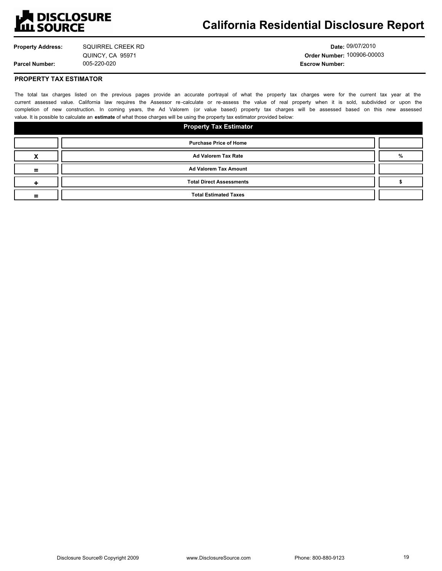

## **California Residential Disclosure Report**

**Property Address:**

**Parcel Number:**

005-220-020 **Escrow Number:** SQUIRREL CREEK RD QUINCY, CA 95971

**Date:** 09/07/2010 **Order Number:** 100906-00003

**PROPERTY TAX ESTIMATOR**

The total tax charges listed on the previous pages provide an accurate portrayal of what the property tax charges were for the current tax year at the current assessed value. California law requires the Assessor re -calculate or re-assess the value of real property when it is sold, subdivided or upon the completion of new construction. In coming years, the Ad Valorem (or value based) property tax charges will be assessed based on this new assessed value. It is possible to calculate an **estimate** of what those charges will be using the property tax estimator provided below:

| <b>Property Tax Estimator</b> |                                 |   |
|-------------------------------|---------------------------------|---|
|                               | <b>Purchase Price of Home</b>   |   |
|                               | Ad Valorem Tax Rate             | % |
|                               | Ad Valorem Tax Amount           |   |
|                               | <b>Total Direct Assessments</b> |   |
|                               | <b>Total Estimated Taxes</b>    |   |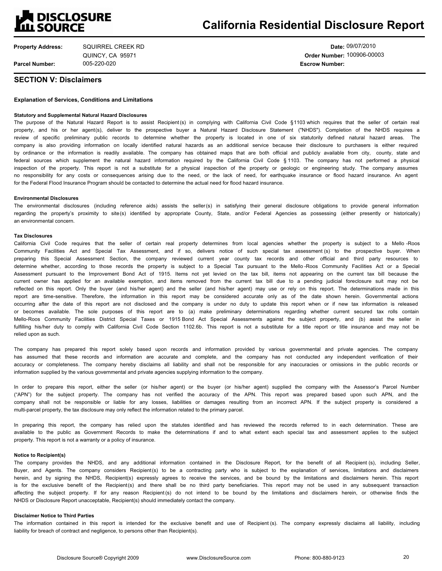## **A DISCLOSURE<br>LLL SOURCE**

**Property Address: Parcel Number:** SQUIRREL CREEK RD QUINCY, CA 95971

**Date:** 09/07/2010 **Order Number:** 100906-00003 005-220-020 **Escrow Number:**

#### **SECTION V: Disclaimers**

#### **Explanation of Services, Conditions and Limitations**

#### **Statutory and Supplemental Natural Hazard Disclosures**

The purpose of the Natural Hazard Report is to assist Recipient (s) in complying with California Civil Code §1103 which requires that the seller of certain real property, and his or her agent(s), deliver to the prospective buyer a Natural Hazard Disclosure Statement ("NHDS"). Completion of the NHDS requires a review of specific preliminary public records to determine whether the property is located in one of six statutorily defined natural hazard areas. The company is also providing information on locally identified natural hazards as an additional service because their disclosure to purchasers is either required by ordinance or the information is readily available. The company has obtained maps that are both official and publicly available from city, county, state and federal sources which supplement the natural hazard information required by the California Civil Code § 1103. The company has not performed a physical inspection of the property. This report is not a substitute for a physical inspection of the property or geologic or engineering study. The company assumes no responsibility for any costs or consequences arising due to the need, or the lack of need, for earthquake insurance or flood hazard insurance. An agent for the Federal Flood Insurance Program should be contacted to determine the actual need for flood hazard insurance.

#### **Environmental Disclosures**

The environmental disclosures (including reference aids) assists the seller(s) in satisfying their general disclosure obligations to provide general information regarding the property's proximity to site(s) identified by appropriate County, State, and/or Federal Agencies as possessing (either presently or historically) an environmental concern.

#### **Tax Disclosures**

California Civil Code requires that the seller of certain real property determines from local agencies whether the property is subject to a Mello -Roos Community Facilities Act and Special Tax Assessment, and if so, delivers notice of such special tax assessment (s) to the prospective buyer. When preparing this Special Assessment Section, the company reviewed current year county tax records and other official and third party resources to determine whether, according to those records the property is subject to a Special Tax pursuant to the Mello -Roos Community Facilities Act or a Special Assessment pursuant to the Improvement Bond Act of 1915. Items not yet levied on the tax bill, items not appearing on the current tax bill because the current owner has applied for an available exemption, and items removed from the current tax bill due to a pending judicial foreclosure suit may not be reflected on this report. Only the buyer (and his/her agent) and the seller (and his/her agent) may use or rely on this report. The determinations made in this report are time-sensitive. Therefore, the information in this report may be considered accurate only as of the date shown herein. Governmental actions occurring after the date of this report are not disclosed and the company is under no duty to update this report when or if new tax information is released or becomes available. The sole purposes of this report are to (a) make preliminary determinations regarding whether current secured tax rolls contain Mello-Roos Community Facilities District Special Taxes or 1915 Bond Act Special Assessments against the subject property, and (b) assist the seller in fulfilling his/her duty to comply with California Civil Code Section 1102.6b. This report is not a substitute for a title report or title insurance and may not be relied upon as such.

The company has prepared this report solely based upon records and information provided by various governmental and private agencies. The company has assumed that these records and information are accurate and complete, and the company has not conducted any independent verification of their accuracy or completeness. The company hereby disclaims all liability and shall not be responsible for any inaccuracies or omissions in the public records or information supplied by the various governmental and private agencies supplying information to the company.

In order to prepare this report, either the seller (or his/her agent) or the buyer (or his/her agent) supplied the company with the Assessor's Parcel Number ("APN") for the subject property. The company has not verified the accuracy of the APN. This report was prepared based upon such APN, and the company shall not be responsible or liable for any losses, liabilities or damages resulting from an incorrect APN. If the subject property is considered a multi-parcel property, the tax disclosure may only reflect the information related to the primary parcel.

In preparing this report, the company has relied upon the statutes identified and has reviewed the records referred to in each determination. These are available to the public as Government Records to make the determinations if and to what extent each special tax and assessment applies to the subject property. This report is not a warranty or a policy of insurance.

#### **Notice to Recipient(s)**

The company provides the NHDS, and any additional information contained in the Disclosure Report, for the benefit of all Recipient (s), including Seller, Buyer, and Agents. The company considers Recipient(s) to be a contracting party who is subject to the explanation of services, limitations and disclaimers herein, and by signing the NHDS, Recipient(s) expressly agrees to receive the services, and be bound by the limitations and disclaimers herein. This report is for the exclusive benefit of the Recipient(s) and there shall be no third party beneficiaries. This report may not be used in any subsequent transaction affecting the subject property. If for any reason Recipient (s) do not intend to be bound by the limitations and disclaimers herein, or otherwise finds the NHDS or Disclosure Report unacceptable, Recipient(s) should immediately contact the company.

#### **Disclaimer Notice to Third Parties**

The information contained in this report is intended for the exclusive benefit and use of Recipient (s). The company expressly disclaims all liability, including liability for breach of contract and negligence, to persons other than Recipient(s).